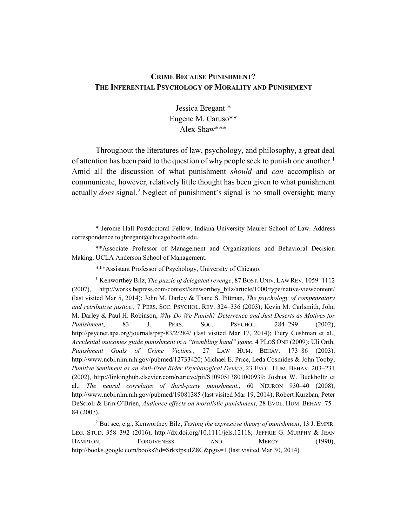# **CRIME BECAUSE PUNISHMENT? THE INFERENTIAL PSYCHOLOGY OF MORALITY AND PUNISHMENT**

Jessica Bregant \* Eugene M. Caruso\*\* Alex Shaw\*\*\*

Throughout the literatures of law, psychology, and philosophy, a great deal of attention has been paid to the question of why people seek to punish one another.<sup>[1](#page-0-0)</sup> Amid all the discussion of what punishment *should* and *can* accomplish or communicate, however, relatively little thought has been given to what punishment actually *does* signal. [2](#page-0-1) Neglect of punishment's signal is no small oversight; many

<span id="page-0-0"></span>\* Jerome Hall Postdoctoral Fellow, Indiana University Maurer School of Law. Address correspondence to jbregant@chicagobooth.edu.

\*\*Associate Professor of Management and Organizations and Behavioral Decision Making, UCLA Anderson School of Management.

\*\*\*Assistant Professor of Psychology, University of Chicago.

 $\overline{a}$ 

<sup>1</sup> Kenworthey Bilz, *The puzzle of delegated revenge*, 87 BOST. UNIV. LAW REV. 1059–1112 (2007), http://works.bepress.com/context/kenworthey\_bilz/article/1000/type/native/viewcontent/ (last visited Mar 5, 2014); John M. Darley & Thane S. Pittman, *The psychology of compensatory and retributive justice.*, 7 PERS. SOC. PSYCHOL. REV. 324–336 (2003); Kevin M. Carlsmith, John M. Darley & Paul H. Robinson, *Why Do We Punish? Deterrence and Just Deserts as Motives for Punishment*, 83 J. PERS. SOC. PSYCHOL. 284–299 (2002), http://psycnet.apa.org/journals/psp/83/2/284/ (last visited Mar 17, 2014); Fiery Cushman et al., *Accidental outcomes guide punishment in a "trembling hand" game*, 4 PLOS ONE (2009); Uli Orth, *Punishment Goals of Crime Victims.*, 27 LAW HUM. BEHAV. 173–86 (2003), http://www.ncbi.nlm.nih.gov/pubmed/12733420; Michael E. Price, Leda Cosmides & John Tooby, *Punitive Sentiment as an Anti-Free Rider Psychological Device*, 23 EVOL. HUM. BEHAV. 203–231 (2002), http://linkinghub.elsevier.com/retrieve/pii/S1090513801000939; Joshua W. Buckholtz et al., *The neural correlates of third-party punishment.*, 60 NEURON 930–40 (2008), http://www.ncbi.nlm.nih.gov/pubmed/19081385 (last visited Mar 19, 2014); Robert Kurzban, Peter DeScioli & Erin O'Brien, *Audience effects on moralistic punishment*, 28 EVOL. HUM. BEHAV. 75– 84 (2007).

<span id="page-0-1"></span><sup>2</sup> But see, e.g., Kenworthey Bilz, *Testing the expressive theory of punishment*, 13 J. EMPIR. LEG. STUD. 358–392 (2016), http://dx.doi.org/10.1111/jels.12118; JEFFRIE G. MURPHY & JEAN HAMPTON, FORGIVENESS AND MERCY (1990), http://books.google.com/books?id=SrkxtpsuIZ8C&pgis=1 (last visited Mar 30, 2014).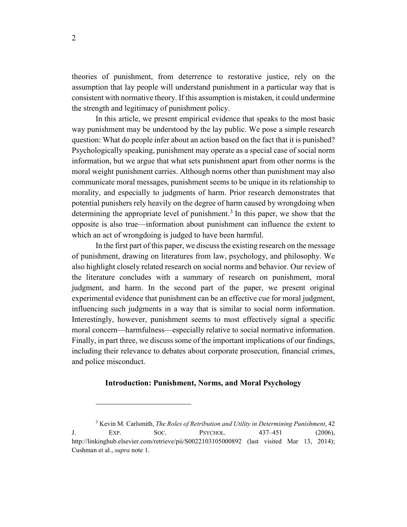theories of punishment, from deterrence to restorative justice, rely on the assumption that lay people will understand punishment in a particular way that is consistent with normative theory. If this assumption is mistaken, it could undermine the strength and legitimacy of punishment policy.

In this article, we present empirical evidence that speaks to the most basic way punishment may be understood by the lay public. We pose a simple research question: What do people infer about an action based on the fact that it is punished? Psychologically speaking, punishment may operate as a special case of social norm information, but we argue that what sets punishment apart from other norms is the moral weight punishment carries. Although norms other than punishment may also communicate moral messages, punishment seems to be unique in its relationship to morality, and especially to judgments of harm. Prior research demonstrates that potential punishers rely heavily on the degree of harm caused by wrongdoing when determining the appropriate level of punishment.<sup>[3](#page-1-0)</sup> In this paper, we show that the opposite is also true—information about punishment can influence the extent to which an act of wrongdoing is judged to have been harmful.

In the first part of this paper, we discuss the existing research on the message of punishment, drawing on literatures from law, psychology, and philosophy. We also highlight closely related research on social norms and behavior. Our review of the literature concludes with a summary of research on punishment, moral judgment, and harm. In the second part of the paper, we present original experimental evidence that punishment can be an effective cue for moral judgment, influencing such judgments in a way that is similar to social norm information. Interestingly, however, punishment seems to most effectively signal a specific moral concern—harmfulness—especially relative to social normative information. Finally, in part three, we discuss some of the important implications of our findings, including their relevance to debates about corporate prosecution, financial crimes, and police misconduct.

### **Introduction: Punishment, Norms, and Moral Psychology**

<span id="page-1-0"></span><sup>3</sup> Kevin M. Carlsmith, *The Roles of Retribution and Utility in Determining Punishment*, 42 J. EXP. SOC. PSYCHOL. 437–451 (2006), http://linkinghub.elsevier.com/retrieve/pii/S0022103105000892 (last visited Mar 13, 2014); Cushman et al., *supra* note 1.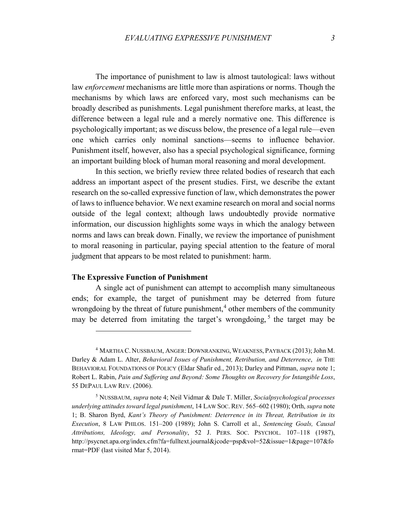The importance of punishment to law is almost tautological: laws without law *enforcement* mechanisms are little more than aspirations or norms. Though the mechanisms by which laws are enforced vary, most such mechanisms can be broadly described as punishments. Legal punishment therefore marks, at least, the difference between a legal rule and a merely normative one. This difference is psychologically important; as we discuss below, the presence of a legal rule—even one which carries only nominal sanctions—seems to influence behavior. Punishment itself, however, also has a special psychological significance, forming an important building block of human moral reasoning and moral development.

In this section, we briefly review three related bodies of research that each address an important aspect of the present studies. First, we describe the extant research on the so-called expressive function of law, which demonstrates the power of laws to influence behavior. We next examine research on moral and social norms outside of the legal context; although laws undoubtedly provide normative information, our discussion highlights some ways in which the analogy between norms and laws can break down. Finally, we review the importance of punishment to moral reasoning in particular, paying special attention to the feature of moral judgment that appears to be most related to punishment: harm.

#### **The Expressive Function of Punishment**

 $\overline{a}$ 

A single act of punishment can attempt to accomplish many simultaneous ends; for example, the target of punishment may be deterred from future wrongdoing by the threat of future punishment,<sup>[4](#page-2-0)</sup> other members of the community may be deterred from imitating the target's wrongdoing,  $5$  the target may be

<span id="page-2-0"></span><sup>4</sup> MARTHA C. NUSSBAUM, ANGER: DOWNRANKING, WEAKNESS, PAYBACK (2013); John M. Darley & Adam L. Alter, *Behavioral Issues of Punishment, Retribution, and Deterrence*, *in* THE BEHAVIORAL FOUNDATIONS OF POLICY (Eldar Shafir ed., 2013); Darley and Pittman, *supra* note 1; Robert L. Rabin, *Pain and Suffering and Beyond: Some Thoughts on Recovery for Intangible Loss*, 55 DEPAUL LAW REV. (2006).

<span id="page-2-1"></span><sup>5</sup> NUSSBAUM, *supra* note 4; Neil Vidmar & Dale T. Miller, *Socialpsychological processes underlying attitudes toward legal punishment*, 14 LAW SOC. REV. 565–602 (1980); Orth, *supra* note 1; B. Sharon Byrd, *Kant's Theory of Punishment: Deterrence in its Threat, Retribution in its Execution*, 8 LAW PHILOS. 151–200 (1989); John S. Carroll et al., *Sentencing Goals, Causal Attributions, Ideology, and Personality*, 52 J. PERS. SOC. PSYCHOL. 107–118 (1987), http://psycnet.apa.org/index.cfm?fa=fulltext.journal&jcode=psp&vol=52&issue=1&page=107&fo rmat=PDF (last visited Mar 5, 2014).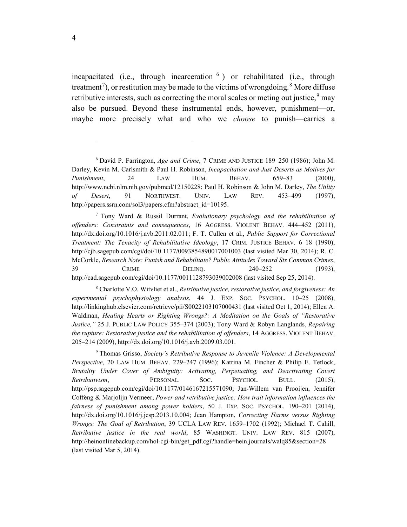incapacitated (i.e., through incarceration  $6$ ) or rehabilitated (i.e., through treatment<sup>[7](#page-3-1)</sup>), or restitution may be made to the victims of wrongdoing.<sup>[8](#page-3-2)</sup> More diffuse retributive interests, such as correcting the moral scales or meting out justice,  $9$  may also be pursued. Beyond these instrumental ends, however, punishment—or, maybe more precisely what and who we *choose* to punish—carries a

<span id="page-3-1"></span><sup>7</sup> Tony Ward & Russil Durrant, *Evolutionary psychology and the rehabilitation of offenders: Constraints and consequences*, 16 AGGRESS. VIOLENT BEHAV. 444–452 (2011), http://dx.doi.org/10.1016/j.avb.2011.02.011; F. T. Cullen et al., *Public Support for Correctional Treatment: The Tenacity of Rehabilitative Ideology*, 17 CRIM. JUSTICE BEHAV. 6–18 (1990), http://cjb.sagepub.com/cgi/doi/10.1177/0093854890017001003 (last visited Mar 30, 2014); R. C. McCorkle, *Research Note: Punish and Rehabilitate? Public Attitudes Toward Six Common Crimes*, 39 **CRIME** DELINQ. 240–252 (1993), http://cad.sagepub.com/cgi/doi/10.1177/0011128793039002008 (last visited Sep 25, 2014).

<span id="page-3-2"></span><sup>8</sup> Charlotte V.O. Witvliet et al., *Retributive justice, restorative justice, and forgiveness: An experimental psychophysiology analysis*, 44 J. EXP. SOC. PSYCHOL. 10–25 (2008), http://linkinghub.elsevier.com/retrieve/pii/S0022103107000431 (last visited Oct 1, 2014); Ellen A. Waldman, *Healing Hearts or Righting Wrongs?: A Meditation on the Goals of "Restorative Justice,"* 25 J. PUBLIC LAW POLICY 355–374 (2003); Tony Ward & Robyn Langlands, *Repairing the rupture: Restorative justice and the rehabilitation of offenders*, 14 AGGRESS. VIOLENT BEHAV. 205–214 (2009), http://dx.doi.org/10.1016/j.avb.2009.03.001.

<span id="page-3-3"></span><sup>9</sup> Thomas Grisso, *Society's Retributive Response to Juvenile Violence: A Developmental Perspective*, 20 LAW HUM. BEHAV. 229–247 (1996); Katrina M. Fincher & Philip E. Tetlock, *Brutality Under Cover of Ambiguity: Activating, Perpetuating, and Deactivating Covert Retributivism*, PERSONAL. SOC. PSYCHOL. BULL. (2015), http://psp.sagepub.com/cgi/doi/10.1177/0146167215571090; Jan-Willem van Prooijen, Jennifer Coffeng & Marjolijn Vermeer, *Power and retributive justice: How trait information influences the fairness of punishment among power holders*, 50 J. EXP. SOC. PSYCHOL. 190–201 (2014), http://dx.doi.org/10.1016/j.jesp.2013.10.004; Jean Hampton, *Correcting Harms versus Righting Wrongs: The Goal of Retribution*, 39 UCLA LAW REV. 1659–1702 (1992); Michael T. Cahill, *Retributive justice in the real world*, 85 WASHINGT. UNIV. LAW REV. 815 (2007), http://heinonlinebackup.com/hol-cgi-bin/get\_pdf.cgi?handle=hein.journals/walq85&section=28 (last visited Mar 5, 2014).

<span id="page-3-0"></span><sup>6</sup> David P. Farrington, *Age and Crime*, 7 CRIME AND JUSTICE 189–250 (1986); John M. Darley, Kevin M. Carlsmith & Paul H. Robinson, *Incapacitation and Just Deserts as Motives for Punishment*, 24 LAW HUM. BEHAV. 659–83 (2000), http://www.ncbi.nlm.nih.gov/pubmed/12150228; Paul H. Robinson & John M. Darley, *The Utility of Desert*, 91 NORTHWEST. UNIV. LAW REV. 453–499 (1997), http://papers.ssrn.com/sol3/papers.cfm?abstract\_id=10195.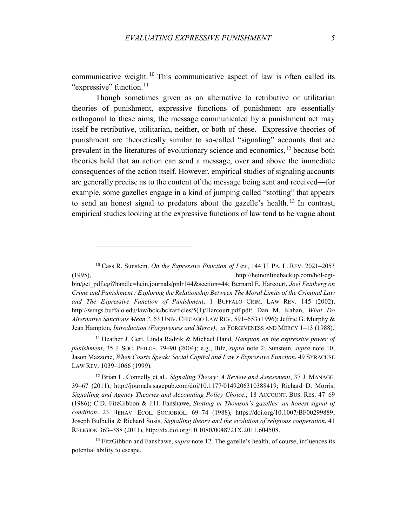communicative weight.<sup>[10](#page-4-0)</sup> This communicative aspect of law is often called its "expressive" function.<sup>[11](#page-4-1)</sup>

Though sometimes given as an alternative to retributive or utilitarian theories of punishment, expressive functions of punishment are essentially orthogonal to these aims; the message communicated by a punishment act may itself be retributive, utilitarian, neither, or both of these. Expressive theories of punishment are theoretically similar to so-called "signaling" accounts that are prevalent in the literatures of evolutionary science and economics,<sup>[12](#page-4-2)</sup> because both theories hold that an action can send a message, over and above the immediate consequences of the action itself. However, empirical studies of signaling accounts are generally precise as to the content of the message being sent and received—for example, some gazelles engage in a kind of jumping called "stotting" that appears to send an honest signal to predators about the gazelle's health. [13](#page-4-3) In contrast, empirical studies looking at the expressive functions of law tend to be vague about

 $\overline{a}$ 

bin/get\_pdf.cgi?handle=hein.journals/pnlr144&section=44; Bernard E. Harcourt, *Joel Feinberg on Crime and Punishment : Exploring the Relationship Between The Moral Limits of the Criminal Law and The Expressive Function of Punishment*, 1 BUFFALO CRIM. LAW REV. 145 (2002), http://wings.buffalo.edu/law/bclc/bclrarticles/5(1)/Harcourt.pdf.pdf; Dan M. Kahan, *What Do Alternative Sanctions Mean ?*, 63 UNIV. CHICAGO LAW REV. 591–653 (1996); Jeffrie G. Murphy & Jean Hampton, *Introduction (Forgiveness and Mercy)*, *in* FORGIVENESS AND MERCY 1–13 (1988).

<span id="page-4-1"></span><sup>11</sup> Heather J. Gert, Linda Radzik & Michael Hand, *Hampton on the expressive power of punishment*, 35 J. SOC. PHILOS. 79–90 (2004); e.g., Bilz, *supra* note 2; Sunstein, *supra* note 10; Jason Mazzone, *When Courts Speak: Social Capital and Law's Expressive Function*, 49 SYRACUSE LAW REV. 1039–1066 (1999).

<span id="page-4-2"></span><sup>12</sup> Brian L. Connelly et al., *Signaling Theory: A Review and Assessment*, 37 J. MANAGE. 39–67 (2011), http://journals.sagepub.com/doi/10.1177/0149206310388419; Richard D. Morris, *Signalling and Agency Theories and Accounting Policy Choice.*, 18 ACCOUNT. BUS. RES. 47–69 (1986); C.D. FitzGibbon & J.H. Fanshawe, *Stotting in Thomson's gazelles: an honest signal of condition*, 23 BEHAV. ECOL. SOCIOBIOL. 69–74 (1988), https://doi.org/10.1007/BF00299889; Joseph Bulbulia & Richard Sosis, *Signalling theory and the evolution of religious cooperation*, 41 RELIGION 363–388 (2011), http://dx.doi.org/10.1080/0048721X.2011.604508.

<span id="page-4-3"></span><sup>13</sup> FitzGibbon and Fanshawe, *supra* note 12. The gazelle's health, of course, influences its potential ability to escape.

<span id="page-4-0"></span><sup>10</sup> Cass R. Sunstein, *On the Expressive Function of Law*, 144 U. PA. L. REV. 2021–2053 (1995), http://heinonlinebackup.com/hol-cgi-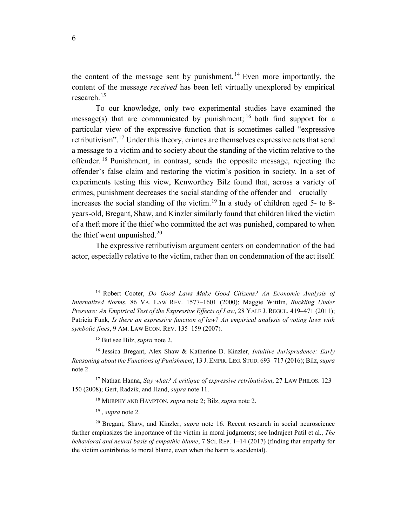the content of the message sent by punishment. [14](#page-5-0) Even more importantly, the content of the message *received* has been left virtually unexplored by empirical research. [15](#page-5-1)

To our knowledge, only two experimental studies have examined the message(s) that are communicated by punishment;  $^{16}$  $^{16}$  $^{16}$  both find support for a particular view of the expressive function that is sometimes called "expressive retributivism".<sup>[17](#page-5-3)</sup> Under this theory, crimes are themselves expressive acts that send a message to a victim and to society about the standing of the victim relative to the offender. [18](#page-5-4) Punishment, in contrast, sends the opposite message, rejecting the offender's false claim and restoring the victim's position in society. In a set of experiments testing this view, Kenworthey Bilz found that, across a variety of crimes, punishment decreases the social standing of the offender and—crucially— increases the social standing of the victim.<sup>[19](#page-5-5)</sup> In a study of children aged 5- to 8years-old, Bregant, Shaw, and Kinzler similarly found that children liked the victim of a theft more if the thief who committed the act was punished, compared to when the thief went unpunished. $20$ 

The expressive retributivism argument centers on condemnation of the bad actor, especially relative to the victim, rather than on condemnation of the act itself.

<sup>15</sup> But see Bilz, *supra* note 2.

<span id="page-5-0"></span><sup>14</sup> Robert Cooter, *Do Good Laws Make Good Citizens? An Economic Analysis of Internalized Norms*, 86 VA. LAW REV. 1577–1601 (2000); Maggie Wittlin, *Buckling Under Pressure: An Empirical Test of the Expressive Effects of Law*, 28 YALE J. REGUL. 419–471 (2011); Patricia Funk, *Is there an expressive function of law? An empirical analysis of voting laws with symbolic fines*, 9 AM. LAW ECON. REV. 135–159 (2007).

<span id="page-5-2"></span><span id="page-5-1"></span><sup>16</sup> Jessica Bregant, Alex Shaw & Katherine D. Kinzler, *Intuitive Jurisprudence: Early Reasoning about the Functions of Punishment*, 13 J. EMPIR. LEG. STUD. 693–717 (2016); Bilz, *supra* note 2.

<span id="page-5-4"></span><span id="page-5-3"></span><sup>17</sup> Nathan Hanna, *Say what? A critique of expressive retributivism*, 27 LAW PHILOS. 123– 150 (2008); Gert, Radzik, and Hand, *supra* note 11.

<sup>18</sup> MURPHY AND HAMPTON, *supra* note 2; Bilz, *supra* note 2.

<sup>19</sup> , *supra* note 2.

<span id="page-5-6"></span><span id="page-5-5"></span><sup>20</sup> Bregant, Shaw, and Kinzler, *supra* note 16. Recent research in social neuroscience further emphasizes the importance of the victim in moral judgments; see Indrajeet Patil et al., *The behavioral and neural basis of empathic blame*, 7 SCI. REP. 1–14 (2017) (finding that empathy for the victim contributes to moral blame, even when the harm is accidental).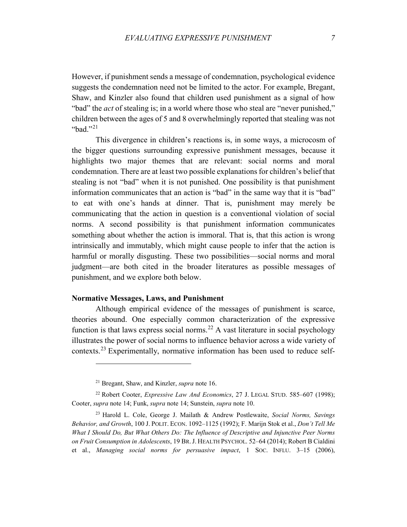However, if punishment sends a message of condemnation, psychological evidence suggests the condemnation need not be limited to the actor. For example, Bregant, Shaw, and Kinzler also found that children used punishment as a signal of how "bad" the *act* of stealing is; in a world where those who steal are "never punished," children between the ages of 5 and 8 overwhelmingly reported that stealing was not "bad $"^{21}$  $"^{21}$  $"^{21}$ 

This divergence in children's reactions is, in some ways, a microcosm of the bigger questions surrounding expressive punishment messages, because it highlights two major themes that are relevant: social norms and moral condemnation. There are at least two possible explanations for children's belief that stealing is not "bad" when it is not punished. One possibility is that punishment information communicates that an action is "bad" in the same way that it is "bad" to eat with one's hands at dinner. That is, punishment may merely be communicating that the action in question is a conventional violation of social norms. A second possibility is that punishment information communicates something about whether the action is immoral. That is, that this action is wrong intrinsically and immutably, which might cause people to infer that the action is harmful or morally disgusting. These two possibilities—social norms and moral judgment—are both cited in the broader literatures as possible messages of punishment, and we explore both below.

### **Normative Messages, Laws, and Punishment**

Although empirical evidence of the messages of punishment is scarce, theories abound. One especially common characterization of the expressive function is that laws express social norms.<sup>[22](#page-6-1)</sup> A vast literature in social psychology illustrates the power of social norms to influence behavior across a wide variety of contexts.<sup>[23](#page-6-2)</sup> Experimentally, normative information has been used to reduce self-

<sup>21</sup> Bregant, Shaw, and Kinzler, *supra* note 16.

<span id="page-6-1"></span><span id="page-6-0"></span><sup>&</sup>lt;sup>22</sup> Robert Cooter, *Expressive Law And Economics*, 27 J. LEGAL STUD. 585–607 (1998); Cooter, *supra* note 14; Funk, *supra* note 14; Sunstein, *supra* note 10.

<span id="page-6-2"></span><sup>23</sup> Harold L. Cole, George J. Mailath & Andrew Postlewaite, *Social Norms, Savings Behavior, and Growth*, 100 J. POLIT. ECON. 1092–1125 (1992); F. Marijn Stok et al., *Don't Tell Me What I Should Do, But What Others Do: The Influence of Descriptive and Injunctive Peer Norms on Fruit Consumption in Adolescents*, 19 BR.J. HEALTH PSYCHOL. 52–64 (2014); Robert B Cialdini et al., *Managing social norms for persuasive impact*, 1 SOC. INFLU. 3–15 (2006),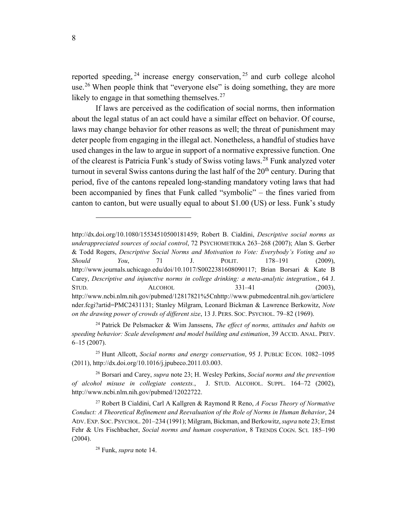reported speeding,  $24$  increase energy conservation,  $25$  and curb college alcohol use.<sup>[26](#page-7-2)</sup> When people think that "everyone else" is doing something, they are more likely to engage in that something themselves. $27$ 

If laws are perceived as the codification of social norms, then information about the legal status of an act could have a similar effect on behavior. Of course, laws may change behavior for other reasons as well; the threat of punishment may deter people from engaging in the illegal act. Nonetheless, a handful of studies have used changes in the law to argue in support of a normative expressive function. One of the clearest is Patricia Funk's study of Swiss voting laws.<sup>[28](#page-7-4)</sup> Funk analyzed voter turnout in several Swiss cantons during the last half of the  $20<sup>th</sup>$  century. During that period, five of the cantons repealed long-standing mandatory voting laws that had been accompanied by fines that Funk called "symbolic" – the fines varied from canton to canton, but were usually equal to about \$1.00 (US) or less. Funk's study

<span id="page-7-0"></span><sup>24</sup> Patrick De Pelsmacker & Wim Janssens, *The effect of norms, attitudes and habits on speeding behavior: Scale development and model building and estimation*, 39 ACCID. ANAL. PREV. 6–15 (2007).

<span id="page-7-1"></span><sup>25</sup> Hunt Allcott, *Social norms and energy conservation*, 95 J. PUBLIC ECON. 1082–1095 (2011), http://dx.doi.org/10.1016/j.jpubeco.2011.03.003.

http://dx.doi.org/10.1080/15534510500181459; Robert B. Cialdini, *Descriptive social norms as underappreciated sources of social control*, 72 PSYCHOMETRIKA 263–268 (2007); Alan S. Gerber & Todd Rogers, *Descriptive Social Norms and Motivation to Vote: Everybody's Voting and so Should You*, 71 J. POLIT. 178–191 (2009), http://www.journals.uchicago.edu/doi/10.1017/S0022381608090117; Brian Borsari & Kate B Carey, *Descriptive and injunctive norms in college drinking: a meta-analytic integration.*, 64 J. STUD. ALCOHOL 331–41 (2003), http://www.ncbi.nlm.nih.gov/pubmed/12817821%5Cnhttp://www.pubmedcentral.nih.gov/articlere nder.fcgi?artid=PMC2431131; Stanley Milgram, Leonard Bickman & Lawrence Berkowitz, *Note on the drawing power of crowds of different size*, 13 J. PERS. SOC. PSYCHOL. 79–82 (1969).

<span id="page-7-2"></span><sup>26</sup> Borsari and Carey, *supra* note 23; H. Wesley Perkins, *Social norms and the prevention of alcohol misuse in collegiate contexts.*, J. STUD. ALCOHOL. SUPPL. 164–72 (2002), http://www.ncbi.nlm.nih.gov/pubmed/12022722.

<span id="page-7-4"></span><span id="page-7-3"></span><sup>27</sup> Robert B Cialdini, Carl A Kallgren & Raymond R Reno, *A Focus Theory of Normative Conduct: A Theoretical Refinement and Reevaluation of the Role of Norms in Human Behavior*, 24 ADV. EXP. SOC. PSYCHOL. 201–234 (1991); Milgram, Bickman, and Berkowitz, *supra* note 23; Ernst Fehr & Urs Fischbacher, *Social norms and human cooperation*, 8 TRENDS COGN. SCI. 185–190 (2004).

<sup>28</sup> Funk, *supra* note 14.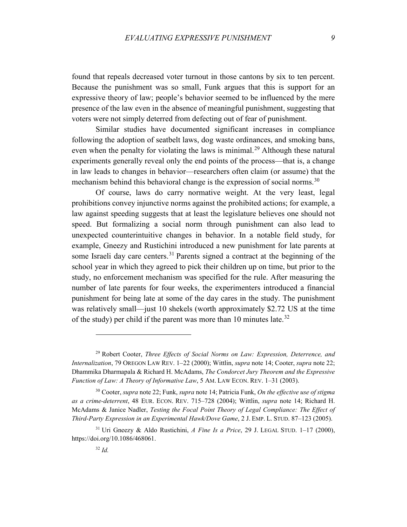found that repeals decreased voter turnout in those cantons by six to ten percent. Because the punishment was so small, Funk argues that this is support for an expressive theory of law; people's behavior seemed to be influenced by the mere presence of the law even in the absence of meaningful punishment, suggesting that voters were not simply deterred from defecting out of fear of punishment.

Similar studies have documented significant increases in compliance following the adoption of seatbelt laws, dog waste ordinances, and smoking bans, even when the penalty for violating the laws is minimal.<sup>[29](#page-8-0)</sup> Although these natural experiments generally reveal only the end points of the process—that is, a change in law leads to changes in behavior—researchers often claim (or assume) that the mechanism behind this behavioral change is the expression of social norms.<sup>[30](#page-8-1)</sup>

Of course, laws do carry normative weight. At the very least, legal prohibitions convey injunctive norms against the prohibited actions; for example, a law against speeding suggests that at least the legislature believes one should not speed. But formalizing a social norm through punishment can also lead to unexpected counterintuitive changes in behavior. In a notable field study, for example, Gneezy and Rustichini introduced a new punishment for late parents at some Israeli day care centers.<sup>[31](#page-8-2)</sup> Parents signed a contract at the beginning of the school year in which they agreed to pick their children up on time, but prior to the study, no enforcement mechanism was specified for the rule. After measuring the number of late parents for four weeks, the experimenters introduced a financial punishment for being late at some of the day cares in the study. The punishment was relatively small—just 10 shekels (worth approximately \$2.72 US at the time of the study) per child if the parent was more than 10 minutes late.<sup>[32](#page-8-3)</sup>

<span id="page-8-0"></span><sup>29</sup> Robert Cooter, *Three Effects of Social Norms on Law: Expression, Deterrence, and Internalization*, 79 OREGON LAW REV. 1–22 (2000); Wittlin, *supra* note 14; Cooter, *supra* note 22; Dhammika Dharmapala & Richard H. McAdams, *The Condorcet Jury Theorem and the Expressive Function of Law: A Theory of Informative Law*, 5 AM. LAW ECON. REV. 1–31 (2003).

<span id="page-8-1"></span><sup>30</sup> Cooter, *supra* note 22; Funk, *supra* note 14; Patricia Funk, *On the effective use of stigma as a crime-deterrent*, 48 EUR. ECON. REV. 715–728 (2004); Wittlin, *supra* note 14; Richard H. McAdams & Janice Nadler, *Testing the Focal Point Theory of Legal Compliance: The Effect of Third-Party Expression in an Experimental Hawk/Dove Game*, 2 J. EMP. L. STUD. 87–123 (2005).

<span id="page-8-3"></span><span id="page-8-2"></span><sup>31</sup> Uri Gneezy & Aldo Rustichini, *A Fine Is a Price*, 29 J. LEGAL STUD. 1–17 (2000), https://doi.org/10.1086/468061.

<sup>32</sup> *Id.*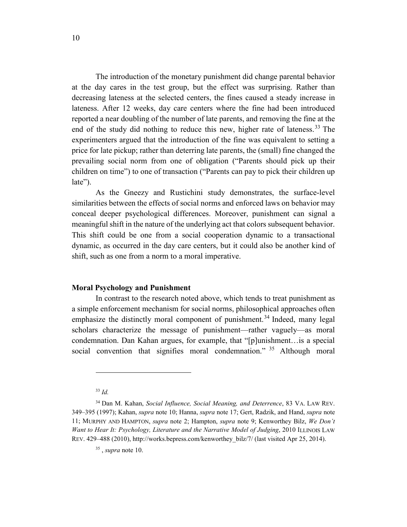The introduction of the monetary punishment did change parental behavior at the day cares in the test group, but the effect was surprising. Rather than decreasing lateness at the selected centers, the fines caused a steady increase in lateness. After 12 weeks, day care centers where the fine had been introduced reported a near doubling of the number of late parents, and removing the fine at the end of the study did nothing to reduce this new, higher rate of lateness. [33](#page-9-0) The experimenters argued that the introduction of the fine was equivalent to setting a price for late pickup; rather than deterring late parents, the (small) fine changed the prevailing social norm from one of obligation ("Parents should pick up their children on time") to one of transaction ("Parents can pay to pick their children up late").

As the Gneezy and Rustichini study demonstrates, the surface-level similarities between the effects of social norms and enforced laws on behavior may conceal deeper psychological differences. Moreover, punishment can signal a meaningful shift in the nature of the underlying act that colors subsequent behavior. This shift could be one from a social cooperation dynamic to a transactional dynamic, as occurred in the day care centers, but it could also be another kind of shift, such as one from a norm to a moral imperative.

### **Moral Psychology and Punishment**

In contrast to the research noted above, which tends to treat punishment as a simple enforcement mechanism for social norms, philosophical approaches often emphasize the distinctly moral component of punishment.<sup>[34](#page-9-1)</sup> Indeed, many legal scholars characterize the message of punishment—rather vaguely—as moral condemnation. Dan Kahan argues, for example, that "[p]unishment…is a special social convention that signifies moral condemnation." <sup>[35](#page-9-2)</sup> Although moral

<sup>33</sup> *Id.*

<span id="page-9-2"></span><span id="page-9-1"></span><span id="page-9-0"></span><sup>34</sup> Dan M. Kahan, *Social Influence, Social Meaning, and Deterrence*, 83 VA. LAW REV. 349–395 (1997); Kahan, *supra* note 10; Hanna, *supra* note 17; Gert, Radzik, and Hand, *supra* note 11; MURPHY AND HAMPTON, *supra* note 2; Hampton, *supra* note 9; Kenworthey Bilz, *We Don't Want to Hear It: Psychology, Literature and the Narrative Model of Judging*, 2010 ILLINOIS LAW REV. 429–488 (2010), http://works.bepress.com/kenworthey\_bilz/7/ (last visited Apr 25, 2014).

<sup>35</sup> , *supra* note 10.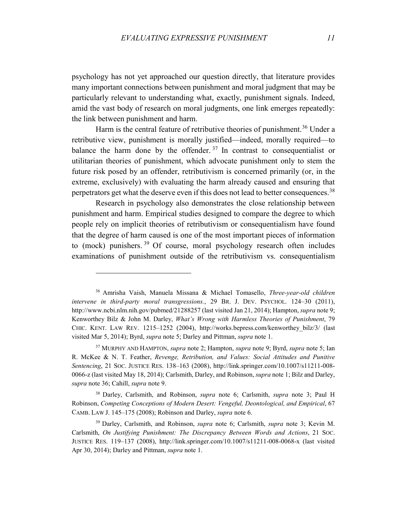psychology has not yet approached our question directly, that literature provides many important connections between punishment and moral judgment that may be particularly relevant to understanding what, exactly, punishment signals. Indeed, amid the vast body of research on moral judgments, one link emerges repeatedly: the link between punishment and harm.

Harm is the central feature of retributive theories of punishment.<sup>[36](#page-10-0)</sup> Under a retributive view, punishment is morally justified—indeed, morally required—to balance the harm done by the offender.<sup>[37](#page-10-1)</sup> In contrast to consequentialist or utilitarian theories of punishment, which advocate punishment only to stem the future risk posed by an offender, retributivism is concerned primarily (or, in the extreme, exclusively) with evaluating the harm already caused and ensuring that perpetrators get what the deserve even if this does not lead to better consequences.<sup>[38](#page-10-2)</sup>

Research in psychology also demonstrates the close relationship between punishment and harm. Empirical studies designed to compare the degree to which people rely on implicit theories of retributivism or consequentialism have found that the degree of harm caused is one of the most important pieces of information to (mock) punishers. [39](#page-10-3) Of course, moral psychology research often includes examinations of punishment outside of the retributivism vs. consequentialism

<span id="page-10-0"></span><sup>36</sup> Amrisha Vaish, Manuela Missana & Michael Tomasello, *Three-year-old children intervene in third-party moral transgressions.*, 29 BR. J. DEV. PSYCHOL. 124–30 (2011), http://www.ncbi.nlm.nih.gov/pubmed/21288257 (last visited Jan 21, 2014); Hampton, *supra* note 9; Kenworthey Bilz & John M. Darley, *What's Wrong with Harmless Theories of Punishment*, 79 CHIC. KENT. LAW REV. 1215–1252 (2004), http://works.bepress.com/kenworthey\_bilz/3/ (last visited Mar 5, 2014); Byrd, *supra* note 5; Darley and Pittman, *supra* note 1.

<span id="page-10-1"></span><sup>37</sup> MURPHY AND HAMPTON, *supra* note 2; Hampton, *supra* note 9; Byrd, *supra* note 5; Ian R. McKee & N. T. Feather, *Revenge, Retribution, and Values: Social Attitudes and Punitive Sentencing*, 21 SOC. JUSTICE RES. 138–163 (2008), http://link.springer.com/10.1007/s11211-008- 0066-z (last visited May 18, 2014); Carlsmith, Darley, and Robinson, *supra* note 1; Bilz and Darley, *supra* note 36; Cahill, *supra* note 9.

<span id="page-10-2"></span><sup>38</sup> Darley, Carlsmith, and Robinson, *supra* note 6; Carlsmith, *supra* note 3; Paul H Robinson, *Competing Conceptions of Modern Desert: Vengeful, Deontological, and Empirical*, 67 CAMB. LAW J. 145–175 (2008); Robinson and Darley, *supra* note 6.

<span id="page-10-3"></span><sup>39</sup> Darley, Carlsmith, and Robinson, *supra* note 6; Carlsmith, *supra* note 3; Kevin M. Carlsmith, *On Justifying Punishment: The Discrepancy Between Words and Actions*, 21 SOC. JUSTICE RES. 119–137 (2008), http://link.springer.com/10.1007/s11211-008-0068-x (last visited Apr 30, 2014); Darley and Pittman, *supra* note 1.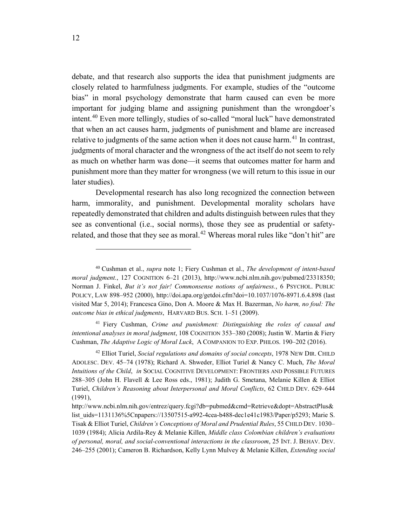debate, and that research also supports the idea that punishment judgments are closely related to harmfulness judgments. For example, studies of the "outcome bias" in moral psychology demonstrate that harm caused can even be more important for judging blame and assigning punishment than the wrongdoer's intent. [40](#page-11-0) Even more tellingly, studies of so-called "moral luck" have demonstrated that when an act causes harm, judgments of punishment and blame are increased relative to judgments of the same action when it does not cause harm.<sup>[41](#page-11-1)</sup> In contrast, judgments of moral character and the wrongness of the act itself do not seem to rely as much on whether harm was done—it seems that outcomes matter for harm and punishment more than they matter for wrongness (we will return to this issue in our later studies).

Developmental research has also long recognized the connection between harm, immorality, and punishment. Developmental morality scholars have repeatedly demonstrated that children and adults distinguish between rules that they see as conventional (i.e., social norms), those they see as prudential or safety-related, and those that they see as moral.<sup>[42](#page-11-2)</sup> Whereas moral rules like "don't hit" are

<span id="page-11-1"></span><sup>41</sup> Fiery Cushman, *Crime and punishment: Distinguishing the roles of causal and intentional analyses in moral judgment*, 108 COGNITION 353–380 (2008); Justin W. Martin & Fiery Cushman, *The Adaptive Logic of Moral Luck*, A COMPANION TO EXP. PHILOS. 190–202 (2016).

<span id="page-11-0"></span><sup>40</sup> Cushman et al., *supra* note 1; Fiery Cushman et al., *The development of intent-based moral judgment.*, 127 COGNITION 6–21 (2013), http://www.ncbi.nlm.nih.gov/pubmed/23318350; Norman J. Finkel, *But it's not fair! Commonsense notions of unfairness.*, 6 PSYCHOL. PUBLIC POLICY, LAW 898–952 (2000), http://doi.apa.org/getdoi.cfm?doi=10.1037/1076-8971.6.4.898 (last visited Mar 5, 2014); Francesca Gino, Don A. Moore & Max H. Bazerman, *No harm, no foul: The outcome bias in ethical judgments*, HARVARD BUS. SCH. 1–51 (2009).

<span id="page-11-2"></span><sup>42</sup> Elliot Turiel, *Social regulations and domains of social concepts*, 1978 NEW DIR. CHILD ADOLESC. DEV. 45–74 (1978); Richard A. Shweder, Elliot Turiel & Nancy C. Much, *The Moral Intuitions of the Child*, *in* SOCIAL COGNITIVE DEVELOPMENT: FRONTIERS AND POSSIBLE FUTURES 288–305 (John H. Flavell & Lee Ross eds., 1981); Judith G. Smetana, Melanie Killen & Elliot Turiel, *Children's Reasoning about Interpersonal and Moral Conflicts*, 62 CHILD DEV. 629–644 (1991),

http://www.ncbi.nlm.nih.gov/entrez/query.fcgi?db=pubmed&cmd=Retrieve&dopt=AbstractPlus& list\_uids=1131136%5Cnpapers://13507515-a992-4cea-b488-dec1e41c1983/Paper/p5293; Marie S. Tisak & Elliot Turiel, *Children's Conceptions of Moral and Prudential Rules*, 55 CHILD DEV. 1030– 1039 (1984); Alicia Ardila-Rey & Melanie Killen, *Middle class Colombian children's evaluations of personal, moral, and social-conventional interactions in the classroom*, 25 INT. J. BEHAV. DEV. 246–255 (2001); Cameron B. Richardson, Kelly Lynn Mulvey & Melanie Killen, *Extending social*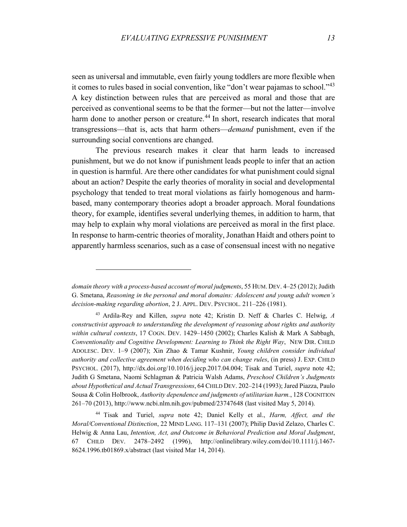seen as universal and immutable, even fairly young toddlers are more flexible when it comes to rules based in social convention, like "don't wear pajamas to school."<sup>[43](#page-12-0)</sup> A key distinction between rules that are perceived as moral and those that are perceived as conventional seems to be that the former—but not the latter—involve harm done to another person or creature.<sup>[44](#page-12-1)</sup> In short, research indicates that moral transgressions—that is, acts that harm others—*demand* punishment, even if the surrounding social conventions are changed.

The previous research makes it clear that harm leads to increased punishment, but we do not know if punishment leads people to infer that an action in question is harmful. Are there other candidates for what punishment could signal about an action? Despite the early theories of morality in social and developmental psychology that tended to treat moral violations as fairly homogenous and harmbased, many contemporary theories adopt a broader approach. Moral foundations theory, for example, identifies several underlying themes, in addition to harm, that may help to explain why moral violations are perceived as moral in the first place. In response to harm-centric theories of morality, Jonathan Haidt and others point to apparently harmless scenarios, such as a case of consensual incest with no negative

*domain theory with a process-based account of moral judgments*, 55 HUM. DEV. 4–25 (2012); Judith G. Smetana, *Reasoning in the personal and moral domains: Adolescent and young adult women's decision-making regarding abortion*, 2 J. APPL. DEV. PSYCHOL. 211–226 (1981).

<span id="page-12-0"></span><sup>43</sup> Ardila-Rey and Killen, *supra* note 42; Kristin D. Neff & Charles C. Helwig, *A constructivist approach to understanding the development of reasoning about rights and authority within cultural contexts*, 17 COGN. DEV. 1429–1450 (2002); Charles Kalish & Mark A Sabbagh, *Conventionality and Cognitive Development: Learning to Think the Right Way*, NEW DIR. CHILD ADOLESC. DEV. 1–9 (2007); Xin Zhao & Tamar Kushnir, *Young children consider individual authority and collective agreement when deciding who can change rules*, (in press) J. EXP. CHILD PSYCHOL. (2017), http://dx.doi.org/10.1016/j.jecp.2017.04.004; Tisak and Turiel, *supra* note 42; Judith G Smetana, Naomi Schlagman & Patricia Walsh Adams, *Preschool Children's Judgments about Hypothetical and Actual Transgressions*, 64 CHILD DEV. 202–214 (1993); Jared Piazza, Paulo Sousa & Colin Holbrook, *Authority dependence and judgments of utilitarian harm.*, 128 COGNITION 261–70 (2013), http://www.ncbi.nlm.nih.gov/pubmed/23747648 (last visited May 5, 2014).

<span id="page-12-1"></span><sup>44</sup> Tisak and Turiel, *supra* note 42; Daniel Kelly et al., *Harm, Affect, and the Moral/Conventional Distinction*, 22 MIND LANG. 117–131 (2007); Philip David Zelazo, Charles C. Helwig & Anna Lau, *Intention, Act, and Outcome in Behavioral Prediction and Moral Judgment*, 67 CHILD DEV. 2478–2492 (1996), http://onlinelibrary.wiley.com/doi/10.1111/j.1467- 8624.1996.tb01869.x/abstract (last visited Mar 14, 2014).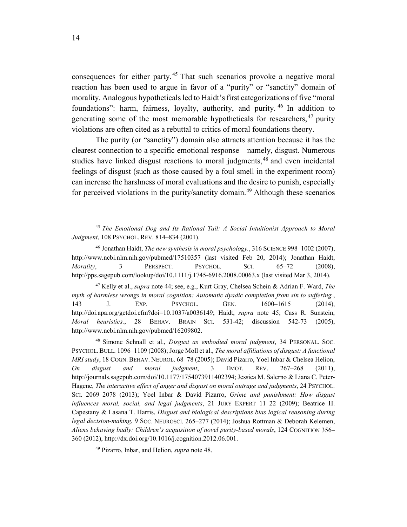consequences for either party. [45](#page-13-0) That such scenarios provoke a negative moral reaction has been used to argue in favor of a "purity" or "sanctity" domain of morality. Analogous hypotheticals led to Haidt's first categorizations of five "moral foundations": harm, fairness, loyalty, authority, and purity. [46](#page-13-1) In addition to generating some of the most memorable hypotheticals for researchers, <sup>[47](#page-13-2)</sup> purity violations are often cited as a rebuttal to critics of moral foundations theory.

The purity (or "sanctity") domain also attracts attention because it has the clearest connection to a specific emotional response—namely, disgust. Numerous studies have linked disgust reactions to moral judgments,<sup>[48](#page-13-3)</sup> and even incidental feelings of disgust (such as those caused by a foul smell in the experiment room) can increase the harshness of moral evaluations and the desire to punish, especially for perceived violations in the purity/sanctity domain.<sup>[49](#page-13-4)</sup> Although these scenarios

<span id="page-13-0"></span><sup>45</sup> *The Emotional Dog and Its Rational Tail: A Social Intuitionist Approach to Moral Judgment*, 108 PSYCHOL. REV. 814–834 (2001).

<span id="page-13-1"></span><sup>46</sup> Jonathan Haidt, *The new synthesis in moral psychology.*, 316 SCIENCE 998–1002 (2007), http://www.ncbi.nlm.nih.gov/pubmed/17510357 (last visited Feb 20, 2014); Jonathan Haidt, *Morality*, 3 PERSPECT. PSYCHOL. SCI. 65–72 (2008), http://pps.sagepub.com/lookup/doi/10.1111/j.1745-6916.2008.00063.x (last visited Mar 3, 2014).

<span id="page-13-2"></span><sup>47</sup> Kelly et al., *supra* note 44; see, e.g., Kurt Gray, Chelsea Schein & Adrian F. Ward, *The myth of harmless wrongs in moral cognition: Automatic dyadic completion from sin to suffering.*, 143 J. EXP. PSYCHOL. GEN. 1600–1615 (2014), http://doi.apa.org/getdoi.cfm?doi=10.1037/a0036149; Haidt, *supra* note 45; Cass R. Sunstein, *Moral heuristics.*, 28 BEHAV. BRAIN SCI. 531-42; discussion 542-73 (2005), http://www.ncbi.nlm.nih.gov/pubmed/16209802.

<span id="page-13-3"></span><sup>48</sup> Simone Schnall et al., *Disgust as embodied moral judgment*, 34 PERSONAL. SOC. PSYCHOL. BULL. 1096–1109 (2008); Jorge Moll et al., *The moral affiliations of disgust: A functional MRI study*, 18 COGN. BEHAV. NEUROL. 68–78 (2005); David Pizarro, Yoel Inbar & Chelsea Helion, *On disgust and moral judgment*, 3 EMOT. REV. 267–268 (2011), http://journals.sagepub.com/doi/10.1177/1754073911402394; Jessica M. Salerno & Liana C. Peter-Hagene, *The interactive effect of anger and disgust on moral outrage and judgments*, 24 PSYCHOL. SCI. 2069–2078 (2013); Yoel Inbar & David Pizarro, *Grime and punishment: How disgust influences moral, social, and legal judgments*, 21 JURY EXPERT 11–22 (2009); Beatrice H. Capestany & Lasana T. Harris, *Disgust and biological descriptions bias logical reasoning during legal decision-making*, 9 SOC. NEUROSCI. 265–277 (2014); Joshua Rottman & Deborah Kelemen, *Aliens behaving badly: Children's acquisition of novel purity-based morals*, 124 COGNITION 356– 360 (2012), http://dx.doi.org/10.1016/j.cognition.2012.06.001.

<span id="page-13-4"></span><sup>49</sup> Pizarro, Inbar, and Helion, *supra* note 48.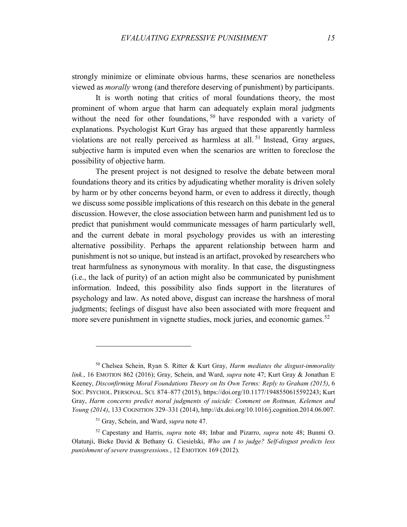strongly minimize or eliminate obvious harms, these scenarios are nonetheless viewed as *morally* wrong (and therefore deserving of punishment) by participants.

It is worth noting that critics of moral foundations theory, the most prominent of whom argue that harm can adequately explain moral judgments without the need for other foundations, <sup>[50](#page-14-0)</sup> have responded with a variety of explanations. Psychologist Kurt Gray has argued that these apparently harmless violations are not really perceived as harmless at all. [51](#page-14-1) Instead, Gray argues, subjective harm is imputed even when the scenarios are written to foreclose the possibility of objective harm.

The present project is not designed to resolve the debate between moral foundations theory and its critics by adjudicating whether morality is driven solely by harm or by other concerns beyond harm, or even to address it directly, though we discuss some possible implications of this research on this debate in the general discussion. However, the close association between harm and punishment led us to predict that punishment would communicate messages of harm particularly well, and the current debate in moral psychology provides us with an interesting alternative possibility. Perhaps the apparent relationship between harm and punishment is not so unique, but instead is an artifact, provoked by researchers who treat harmfulness as synonymous with morality. In that case, the disgustingness (i.e., the lack of purity) of an action might also be communicated by punishment information. Indeed, this possibility also finds support in the literatures of psychology and law. As noted above, disgust can increase the harshness of moral judgments; feelings of disgust have also been associated with more frequent and more severe punishment in vignette studies, mock juries, and economic games.<sup>[52](#page-14-2)</sup>

<span id="page-14-0"></span><sup>50</sup> Chelsea Schein, Ryan S. Ritter & Kurt Gray, *Harm mediates the disgust-immorality link.*, 16 EMOTION 862 (2016); Gray, Schein, and Ward, *supra* note 47; Kurt Gray & Jonathan E Keeney, *Disconfirming Moral Foundations Theory on Its Own Terms: Reply to Graham (2015)*, 6 SOC. PSYCHOL. PERSONAL. SCI. 874–877 (2015), https://doi.org/10.1177/1948550615592243; Kurt Gray, *Harm concerns predict moral judgments of suicide: Comment on Rottman, Kelemen and Young (2014)*, 133 COGNITION 329–331 (2014), http://dx.doi.org/10.1016/j.cognition.2014.06.007.

<sup>51</sup> Gray, Schein, and Ward, *supra* note 47.

<span id="page-14-2"></span><span id="page-14-1"></span><sup>52</sup> Capestany and Harris, *supra* note 48; Inbar and Pizarro, *supra* note 48; Bunmi O. Olatunji, Bieke David & Bethany G. Ciesielski, *Who am I to judge? Self-disgust predicts less punishment of severe transgressions.*, 12 EMOTION 169 (2012).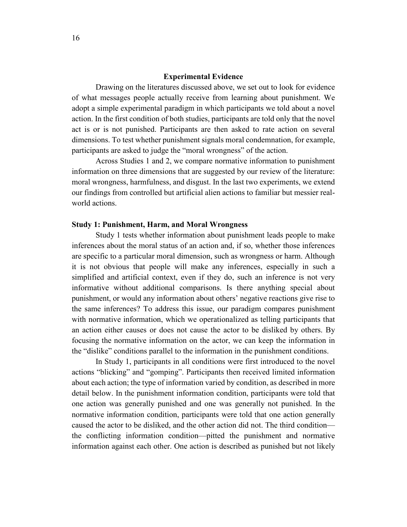## **Experimental Evidence**

Drawing on the literatures discussed above, we set out to look for evidence of what messages people actually receive from learning about punishment. We adopt a simple experimental paradigm in which participants we told about a novel action. In the first condition of both studies, participants are told only that the novel act is or is not punished. Participants are then asked to rate action on several dimensions. To test whether punishment signals moral condemnation, for example, participants are asked to judge the "moral wrongness" of the action.

Across Studies 1 and 2, we compare normative information to punishment information on three dimensions that are suggested by our review of the literature: moral wrongness, harmfulness, and disgust. In the last two experiments, we extend our findings from controlled but artificial alien actions to familiar but messier realworld actions.

### **Study 1: Punishment, Harm, and Moral Wrongness**

Study 1 tests whether information about punishment leads people to make inferences about the moral status of an action and, if so, whether those inferences are specific to a particular moral dimension, such as wrongness or harm. Although it is not obvious that people will make any inferences, especially in such a simplified and artificial context, even if they do, such an inference is not very informative without additional comparisons. Is there anything special about punishment, or would any information about others' negative reactions give rise to the same inferences? To address this issue, our paradigm compares punishment with normative information, which we operationalized as telling participants that an action either causes or does not cause the actor to be disliked by others. By focusing the normative information on the actor, we can keep the information in the "dislike" conditions parallel to the information in the punishment conditions.

In Study 1, participants in all conditions were first introduced to the novel actions "blicking" and "gomping". Participants then received limited information about each action; the type of information varied by condition, as described in more detail below. In the punishment information condition, participants were told that one action was generally punished and one was generally not punished. In the normative information condition, participants were told that one action generally caused the actor to be disliked, and the other action did not. The third condition the conflicting information condition—pitted the punishment and normative information against each other. One action is described as punished but not likely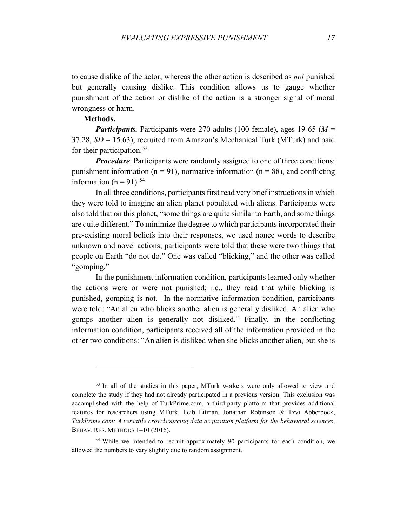to cause dislike of the actor, whereas the other action is described as *not* punished but generally causing dislike. This condition allows us to gauge whether punishment of the action or dislike of the action is a stronger signal of moral wrongness or harm.

# **Methods.**

 $\overline{a}$ 

*Participants.* Participants were 270 adults (100 female), ages 19-65 (*M* = 37.28, *SD* = 15.63), recruited from Amazon's Mechanical Turk (MTurk) and paid for their participation.<sup>[53](#page-16-0)</sup>

*Procedure*. Participants were randomly assigned to one of three conditions: punishment information ( $n = 91$ ), normative information ( $n = 88$ ), and conflicting information ( $n = 91$ ).<sup>[54](#page-16-1)</sup>

In all three conditions, participants first read very brief instructions in which they were told to imagine an alien planet populated with aliens. Participants were also told that on this planet, "some things are quite similar to Earth, and some things are quite different." To minimize the degree to which participants incorporated their pre-existing moral beliefs into their responses, we used nonce words to describe unknown and novel actions; participants were told that these were two things that people on Earth "do not do." One was called "blicking," and the other was called "gomping."

In the punishment information condition, participants learned only whether the actions were or were not punished; i.e., they read that while blicking is punished, gomping is not. In the normative information condition, participants were told: "An alien who blicks another alien is generally disliked. An alien who gomps another alien is generally not disliked." Finally, in the conflicting information condition, participants received all of the information provided in the other two conditions: "An alien is disliked when she blicks another alien, but she is

<span id="page-16-0"></span><sup>&</sup>lt;sup>53</sup> In all of the studies in this paper, MTurk workers were only allowed to view and complete the study if they had not already participated in a previous version. This exclusion was accomplished with the help of TurkPrime.com, a third-party platform that provides additional features for researchers using MTurk. Leib Litman, Jonathan Robinson & Tzvi Abberbock, *TurkPrime.com: A versatile crowdsourcing data acquisition platform for the behavioral sciences*, BEHAV. RES. METHODS 1–10 (2016).

<span id="page-16-1"></span><sup>&</sup>lt;sup>54</sup> While we intended to recruit approximately 90 participants for each condition, we allowed the numbers to vary slightly due to random assignment.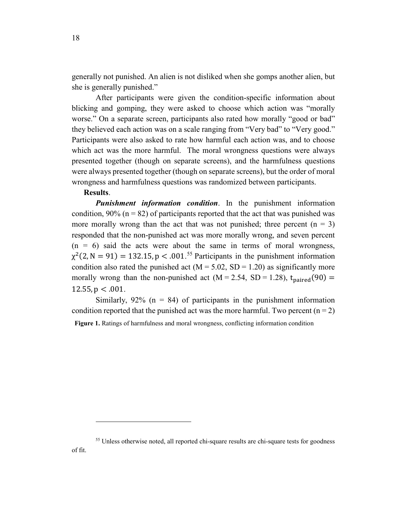generally not punished. An alien is not disliked when she gomps another alien, but she is generally punished."

After participants were given the condition-specific information about blicking and gomping, they were asked to choose which action was "morally worse." On a separate screen, participants also rated how morally "good or bad" they believed each action was on a scale ranging from "Very bad" to "Very good." Participants were also asked to rate how harmful each action was, and to choose which act was the more harmful. The moral wrongness questions were always presented together (though on separate screens), and the harmfulness questions were always presented together (though on separate screens), but the order of moral wrongness and harmfulness questions was randomized between participants.

# **Results**.

 $\overline{a}$ 

*Punishment information condition*. In the punishment information condition, 90% ( $n = 82$ ) of participants reported that the act that was punished was more morally wrong than the act that was not punished; three percent  $(n = 3)$ responded that the non-punished act was more morally wrong, and seven percent  $(n = 6)$  said the acts were about the same in terms of moral wrongness,  $\chi^2$ (2, N = 91) = 132.15, p < .001.<sup>[55](#page-17-0)</sup> Participants in the punishment information condition also rated the punished act ( $M = 5.02$ ,  $SD = 1.20$ ) as significantly more morally wrong than the non-punished act  $(M = 2.54, SD = 1.28)$ ,  $t<sub>paired</sub>(90) =$  $12.55$ ,  $p < .001$ .

Similarly,  $92\%$  (n = 84) of participants in the punishment information condition reported that the punished act was the more harmful. Two percent  $(n = 2)$ **Figure 1.** Ratings of harmfulness and moral wrongness, conflicting information condition

<span id="page-17-0"></span><sup>55</sup> Unless otherwise noted, all reported chi-square results are chi-square tests for goodness of fit.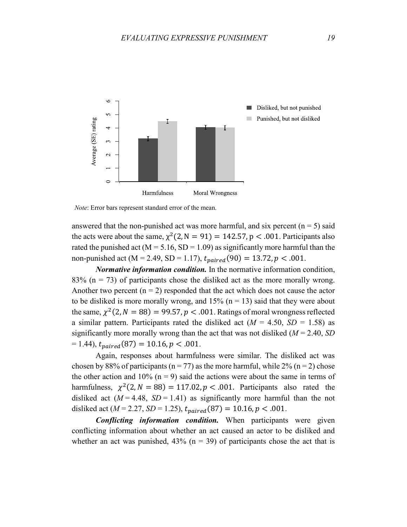

*Note*: Error bars represent standard error of the mean.

answered that the non-punished act was more harmful, and six percent  $(n = 5)$  said the acts were about the same,  $\chi^2(2, N = 91) = 142.57$ , p < .001. Participants also rated the punished act ( $M = 5.16$ ,  $SD = 1.09$ ) as significantly more harmful than the non-punished act (M = 2.49, SD = 1.17),  $t_{paired}(90) = 13.72, p < .001$ .

*Normative information condition.* In the normative information condition, 83% ( $n = 73$ ) of participants chose the disliked act as the more morally wrong. Another two percent  $(n = 2)$  responded that the act which does not cause the actor to be disliked is more morally wrong, and  $15\%$  (n = 13) said that they were about the same,  $\chi^2(2, N = 88) = 99.57$ ,  $p < .001$ . Ratings of moral wrongness reflected a similar pattern. Participants rated the disliked act  $(M = 4.50, SD = 1.58)$  as significantly more morally wrong than the act that was not disliked (*M* = 2.40, *SD*  $= 1.44$ ),  $t_{naired}(87) = 10.16$ ,  $p < .001$ .

Again, responses about harmfulness were similar. The disliked act was chosen by 88% of participants ( $n = 77$ ) as the more harmful, while 2% ( $n = 2$ ) chose the other action and 10% ( $n = 9$ ) said the actions were about the same in terms of harmfulness,  $\chi^2(2, N = 88) = 117.02$ ,  $p < .001$ . Participants also rated the disliked act  $(M = 4.48, SD = 1.41)$  as significantly more harmful than the not disliked act ( $M = 2.27$ ,  $SD = 1.25$ ),  $t_{paired}(87) = 10.16$ ,  $p < .001$ .

*Conflicting information condition.* When participants were given conflicting information about whether an act caused an actor to be disliked and whether an act was punished,  $43\%$  (n = 39) of participants chose the act that is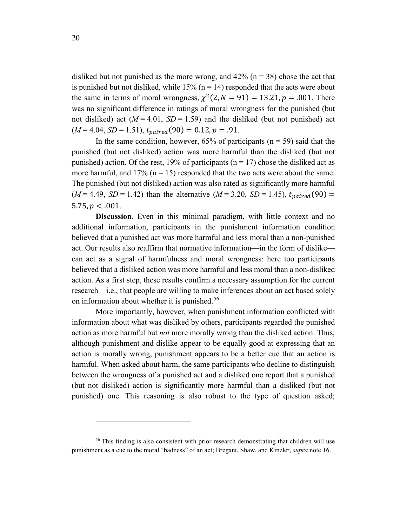disliked but not punished as the more wrong, and  $42\%$  (n = 38) chose the act that is punished but not disliked, while  $15\%$  (n = 14) responded that the acts were about the same in terms of moral wrongness,  $\chi^2(2, N = 91) = 13.21, p = .001$ . There was no significant difference in ratings of moral wrongness for the punished (but not disliked) act  $(M = 4.01, SD = 1.59)$  and the disliked (but not punished) act  $(M = 4.04, SD = 1.51), t_{paired}(90) = 0.12, p = .91.$ 

In the same condition, however,  $65\%$  of participants (n = 59) said that the punished (but not disliked) action was more harmful than the disliked (but not punished) action. Of the rest, 19% of participants ( $n = 17$ ) chose the disliked act as more harmful, and  $17\%$  (n = 15) responded that the two acts were about the same. The punished (but not disliked) action was also rated as significantly more harmful  $(M = 4.49, SD = 1.42)$  than the alternative  $(M = 3.20, SD = 1.45)$ ,  $t_{naired}(90) =$  $5.75, p < .001$ .

**Discussion**. Even in this minimal paradigm, with little context and no additional information, participants in the punishment information condition believed that a punished act was more harmful and less moral than a non-punished act. Our results also reaffirm that normative information—in the form of dislike can act as a signal of harmfulness and moral wrongness: here too participants believed that a disliked action was more harmful and less moral than a non-disliked action. As a first step, these results confirm a necessary assumption for the current research—i.e., that people are willing to make inferences about an act based solely on information about whether it is punished.<sup>[56](#page-19-0)</sup>

More importantly, however, when punishment information conflicted with information about what was disliked by others, participants regarded the punished action as more harmful but *not* more morally wrong than the disliked action. Thus, although punishment and dislike appear to be equally good at expressing that an action is morally wrong, punishment appears to be a better cue that an action is harmful. When asked about harm, the same participants who decline to distinguish between the wrongness of a punished act and a disliked one report that a punished (but not disliked) action is significantly more harmful than a disliked (but not punished) one. This reasoning is also robust to the type of question asked;

<span id="page-19-0"></span><sup>&</sup>lt;sup>56</sup> This finding is also consistent with prior research demonstrating that children will use punishment as a cue to the moral "badness" of an act; Bregant, Shaw, and Kinzler, *supra* note 16.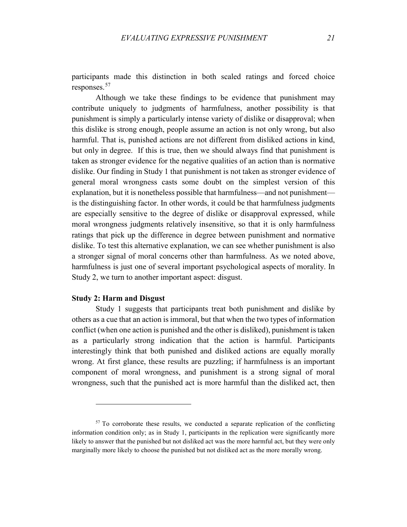participants made this distinction in both scaled ratings and forced choice responses.<sup>[57](#page-20-0)</sup>

Although we take these findings to be evidence that punishment may contribute uniquely to judgments of harmfulness, another possibility is that punishment is simply a particularly intense variety of dislike or disapproval; when this dislike is strong enough, people assume an action is not only wrong, but also harmful. That is, punished actions are not different from disliked actions in kind, but only in degree. If this is true, then we should always find that punishment is taken as stronger evidence for the negative qualities of an action than is normative dislike. Our finding in Study 1 that punishment is not taken as stronger evidence of general moral wrongness casts some doubt on the simplest version of this explanation, but it is nonetheless possible that harmfulness—and not punishment is the distinguishing factor. In other words, it could be that harmfulness judgments are especially sensitive to the degree of dislike or disapproval expressed, while moral wrongness judgments relatively insensitive, so that it is only harmfulness ratings that pick up the difference in degree between punishment and normative dislike. To test this alternative explanation, we can see whether punishment is also a stronger signal of moral concerns other than harmfulness. As we noted above, harmfulness is just one of several important psychological aspects of morality. In Study 2, we turn to another important aspect: disgust.

## **Study 2: Harm and Disgust**

 $\overline{a}$ 

Study 1 suggests that participants treat both punishment and dislike by others as a cue that an action is immoral, but that when the two types of information conflict (when one action is punished and the other is disliked), punishment is taken as a particularly strong indication that the action is harmful. Participants interestingly think that both punished and disliked actions are equally morally wrong. At first glance, these results are puzzling; if harmfulness is an important component of moral wrongness, and punishment is a strong signal of moral wrongness, such that the punished act is more harmful than the disliked act, then

<span id="page-20-0"></span><sup>&</sup>lt;sup>57</sup> To corroborate these results, we conducted a separate replication of the conflicting information condition only; as in Study 1, participants in the replication were significantly more likely to answer that the punished but not disliked act was the more harmful act, but they were only marginally more likely to choose the punished but not disliked act as the more morally wrong.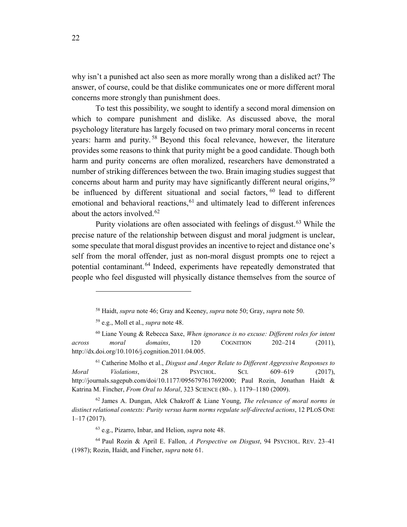why isn't a punished act also seen as more morally wrong than a disliked act? The answer, of course, could be that dislike communicates one or more different moral concerns more strongly than punishment does.

To test this possibility, we sought to identify a second moral dimension on which to compare punishment and dislike. As discussed above, the moral psychology literature has largely focused on two primary moral concerns in recent years: harm and purity. [58](#page-21-0) Beyond this focal relevance, however, the literature provides some reasons to think that purity might be a good candidate. Though both harm and purity concerns are often moralized, researchers have demonstrated a number of striking differences between the two. Brain imaging studies suggest that concerns about harm and purity may have significantly different neural origins,<sup>[59](#page-21-1)</sup> be influenced by different situational and social factors, <sup>[60](#page-21-2)</sup> lead to different emotional and behavioral reactions, <sup>[61](#page-21-3)</sup> and ultimately lead to different inferences about the actors involved. [62](#page-21-4)

Purity violations are often associated with feelings of disgust.<sup>[63](#page-21-5)</sup> While the precise nature of the relationship between disgust and moral judgment is unclear, some speculate that moral disgust provides an incentive to reject and distance one's self from the moral offender, just as non-moral disgust prompts one to reject a potential contaminant. [64](#page-21-6) Indeed, experiments have repeatedly demonstrated that people who feel disgusted will physically distance themselves from the source of

 $\overline{a}$ 

<sup>63</sup> e.g., Pizarro, Inbar, and Helion, *supra* note 48.

<sup>58</sup> Haidt, *supra* note 46; Gray and Keeney, *supra* note 50; Gray, *supra* note 50.

<sup>59</sup> e.g., Moll et al., *supra* note 48.

<span id="page-21-2"></span><span id="page-21-1"></span><span id="page-21-0"></span><sup>60</sup> Liane Young & Rebecca Saxe, *When ignorance is no excuse: Different roles for intent across moral domains*, 120 COGNITION 202–214 (2011), http://dx.doi.org/10.1016/j.cognition.2011.04.005.

<span id="page-21-3"></span><sup>61</sup> Catherine Molho et al., *Disgust and Anger Relate to Different Aggressive Responses to Moral Violations*, 28 PSYCHOL. SCI. 609–619 (2017), http://journals.sagepub.com/doi/10.1177/0956797617692000; Paul Rozin, Jonathan Haidt & Katrina M. Fincher, *From Oral to Moral*, 323 SCIENCE (80-. ). 1179–1180 (2009).

<span id="page-21-4"></span><sup>62</sup> James A. Dungan, Alek Chakroff & Liane Young, *The relevance of moral norms in distinct relational contexts: Purity versus harm norms regulate self-directed actions*, 12 PLOS ONE 1–17 (2017).

<span id="page-21-6"></span><span id="page-21-5"></span><sup>64</sup> Paul Rozin & April E. Fallon, *A Perspective on Disgust*, 94 PSYCHOL. REV. 23–41 (1987); Rozin, Haidt, and Fincher, *supra* note 61.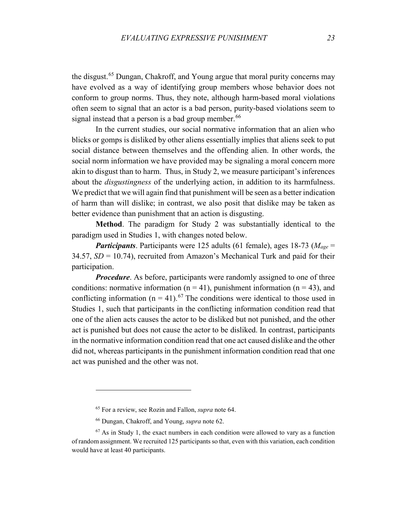the disgust. [65](#page-22-0) Dungan, Chakroff, and Young argue that moral purity concerns may have evolved as a way of identifying group members whose behavior does not conform to group norms. Thus, they note, although harm-based moral violations often seem to signal that an actor is a bad person, purity-based violations seem to signal instead that a person is a bad group member.<sup>[66](#page-22-1)</sup>

In the current studies, our social normative information that an alien who blicks or gomps is disliked by other aliens essentially implies that aliens seek to put social distance between themselves and the offending alien. In other words, the social norm information we have provided may be signaling a moral concern more akin to disgust than to harm. Thus, in Study 2, we measure participant's inferences about the *disgustingness* of the underlying action, in addition to its harmfulness. We predict that we will again find that punishment will be seen as a better indication of harm than will dislike; in contrast, we also posit that dislike may be taken as better evidence than punishment that an action is disgusting.

**Method**. The paradigm for Study 2 was substantially identical to the paradigm used in Studies 1, with changes noted below.

*Participants*. Participants were 125 adults (61 female), ages 18-73 (*Mage* = 34.57,  $SD = 10.74$ ), recruited from Amazon's Mechanical Turk and paid for their participation.

*Procedure*. As before, participants were randomly assigned to one of three conditions: normative information ( $n = 41$ ), punishment information ( $n = 43$ ), and conflicting information ( $n = 41$ ).<sup>[67](#page-22-2)</sup> The conditions were identical to those used in Studies 1, such that participants in the conflicting information condition read that one of the alien acts causes the actor to be disliked but not punished, and the other act is punished but does not cause the actor to be disliked. In contrast, participants in the normative information condition read that one act caused dislike and the other did not, whereas participants in the punishment information condition read that one act was punished and the other was not.

<sup>65</sup> For a review, see Rozin and Fallon, *supra* note 64.

<sup>66</sup> Dungan, Chakroff, and Young, *supra* note 62.

<span id="page-22-2"></span><span id="page-22-1"></span><span id="page-22-0"></span> $67$  As in Study 1, the exact numbers in each condition were allowed to vary as a function of random assignment. We recruited 125 participants so that, even with this variation, each condition would have at least 40 participants.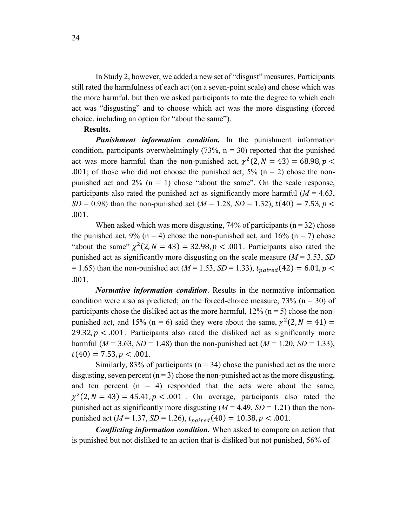In Study 2, however, we added a new set of "disgust" measures. Participants still rated the harmfulness of each act (on a seven-point scale) and chose which was the more harmful, but then we asked participants to rate the degree to which each act was "disgusting" and to choose which act was the more disgusting (forced choice, including an option for "about the same").

#### **Results.**

*Punishment information condition.* In the punishment information condition, participants overwhelmingly  $(73\%, n = 30)$  reported that the punished act was more harmful than the non-punished act,  $\chi^2(2, N = 43) = 68.98, p <$ .001; of those who did not choose the punished act,  $5\%$  (n = 2) chose the nonpunished act and  $2\%$  (n = 1) chose "about the same". On the scale response, participants also rated the punished act as significantly more harmful  $(M = 4.63)$ , *SD* = 0.98) than the non-punished act ( $M = 1.28$ , *SD* = 1.32),  $t(40) = 7.53$ ,  $p <$ .001.

When asked which was more disgusting,  $74\%$  of participants ( $n = 32$ ) chose the punished act, 9% ( $n = 4$ ) chose the non-punished act, and 16% ( $n = 7$ ) chose "about the same"  $\chi^2(2, N = 43) = 32.98$ ,  $p < .001$ . Participants also rated the punished act as significantly more disgusting on the scale measure (*M* = 3.53, *SD*  $= 1.65$ ) than the non-punished act ( $M = 1.53$ ,  $SD = 1.33$ ),  $t_{naired}(42) = 6.01, p <$ .001.

*Normative information condition*. Results in the normative information condition were also as predicted; on the forced-choice measure,  $73\%$  (n = 30) of participants chose the disliked act as the more harmful,  $12\%$  (n = 5) chose the nonpunished act, and 15% (n = 6) said they were about the same,  $\chi^2(2, N = 41)$  = 29.32,  $p < 0.001$ . Participants also rated the disliked act as significantly more harmful ( $M = 3.63$ ,  $SD = 1.48$ ) than the non-punished act ( $M = 1.20$ ,  $SD = 1.33$ ),  $t(40) = 7.53, p < .001.$ 

Similarly, 83% of participants ( $n = 34$ ) chose the punished act as the more disgusting, seven percent  $(n = 3)$  chose the non-punished act as the more disgusting, and ten percent  $(n = 4)$  responded that the acts were about the same,  $\chi^2(2, N = 43) = 45.41, p < .001$ . On average, participants also rated the punished act as significantly more disgusting  $(M = 4.49, SD = 1.21)$  than the nonpunished act ( $M = 1.37$ ,  $SD = 1.26$ ),  $t_{paired}(40) = 10.38$ ,  $p < .001$ .

*Conflicting information condition.* When asked to compare an action that is punished but not disliked to an action that is disliked but not punished, 56% of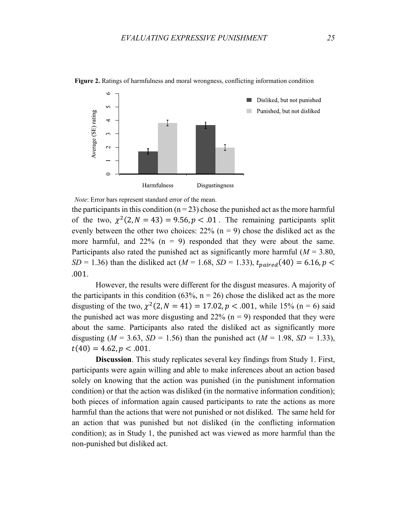

**Figure 2.** Ratings of harmfulness and moral wrongness, conflicting information condition

*Note*: Error bars represent standard error of the mean.

the participants in this condition ( $n = 23$ ) chose the punished act as the more harmful of the two,  $\chi^2(2, N = 43) = 9.56$ ,  $p < 0.01$ . The remaining participants split evenly between the other two choices:  $22\%$  (n = 9) chose the disliked act as the more harmful, and  $22\%$  (n = 9) responded that they were about the same. Participants also rated the punished act as significantly more harmful ( $M = 3.80$ , *SD* = 1.36) than the disliked act (*M* = 1.68, *SD* = 1.33),  $t_{paired}(40) = 6.16, p <$ .001.

However, the results were different for the disgust measures. A majority of the participants in this condition (63%,  $n = 26$ ) chose the disliked act as the more disgusting of the two,  $\chi^2(2, N = 41) = 17.02$ ,  $p < .001$ , while 15% (n = 6) said the punished act was more disgusting and  $22\%$  (n = 9) responded that they were about the same. Participants also rated the disliked act as significantly more disgusting ( $M = 3.63$ ,  $SD = 1.56$ ) than the punished act ( $M = 1.98$ ,  $SD = 1.33$ ),  $t(40) = 4.62, p < .001.$ 

**Discussion**. This study replicates several key findings from Study 1. First, participants were again willing and able to make inferences about an action based solely on knowing that the action was punished (in the punishment information condition) or that the action was disliked (in the normative information condition); both pieces of information again caused participants to rate the actions as more harmful than the actions that were not punished or not disliked. The same held for an action that was punished but not disliked (in the conflicting information condition); as in Study 1, the punished act was viewed as more harmful than the non-punished but disliked act.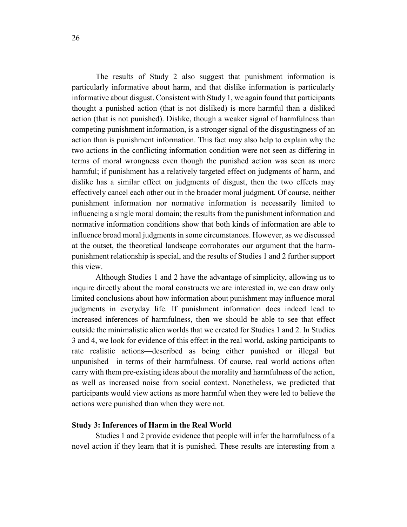The results of Study 2 also suggest that punishment information is particularly informative about harm, and that dislike information is particularly informative about disgust. Consistent with Study 1, we again found that participants thought a punished action (that is not disliked) is more harmful than a disliked action (that is not punished). Dislike, though a weaker signal of harmfulness than competing punishment information, is a stronger signal of the disgustingness of an action than is punishment information. This fact may also help to explain why the two actions in the conflicting information condition were not seen as differing in terms of moral wrongness even though the punished action was seen as more harmful; if punishment has a relatively targeted effect on judgments of harm, and dislike has a similar effect on judgments of disgust, then the two effects may effectively cancel each other out in the broader moral judgment. Of course, neither punishment information nor normative information is necessarily limited to influencing a single moral domain; the results from the punishment information and normative information conditions show that both kinds of information are able to influence broad moral judgments in some circumstances. However, as we discussed at the outset, the theoretical landscape corroborates our argument that the harmpunishment relationship is special, and the results of Studies 1 and 2 further support this view.

Although Studies 1 and 2 have the advantage of simplicity, allowing us to inquire directly about the moral constructs we are interested in, we can draw only limited conclusions about how information about punishment may influence moral judgments in everyday life. If punishment information does indeed lead to increased inferences of harmfulness, then we should be able to see that effect outside the minimalistic alien worlds that we created for Studies 1 and 2. In Studies 3 and 4, we look for evidence of this effect in the real world, asking participants to rate realistic actions—described as being either punished or illegal but unpunished—in terms of their harmfulness. Of course, real world actions often carry with them pre-existing ideas about the morality and harmfulness of the action, as well as increased noise from social context. Nonetheless, we predicted that participants would view actions as more harmful when they were led to believe the actions were punished than when they were not.

### **Study 3: Inferences of Harm in the Real World**

Studies 1 and 2 provide evidence that people will infer the harmfulness of a novel action if they learn that it is punished. These results are interesting from a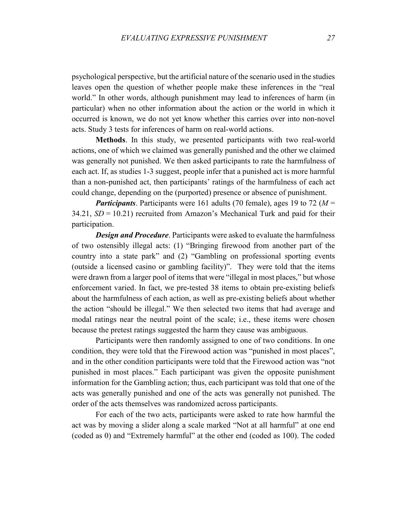psychological perspective, but the artificial nature of the scenario used in the studies leaves open the question of whether people make these inferences in the "real world." In other words, although punishment may lead to inferences of harm (in particular) when no other information about the action or the world in which it occurred is known, we do not yet know whether this carries over into non-novel acts. Study 3 tests for inferences of harm on real-world actions.

**Methods**. In this study, we presented participants with two real-world actions, one of which we claimed was generally punished and the other we claimed was generally not punished. We then asked participants to rate the harmfulness of each act. If, as studies 1-3 suggest, people infer that a punished act is more harmful than a non-punished act, then participants' ratings of the harmfulness of each act could change, depending on the (purported) presence or absence of punishment.

*Participants*. Participants were 161 adults (70 female), ages 19 to 72 (*M* =  $34.21$ ,  $SD = 10.21$ ) recruited from Amazon's Mechanical Turk and paid for their participation.

*Design and Procedure.* Participants were asked to evaluate the harmfulness of two ostensibly illegal acts: (1) "Bringing firewood from another part of the country into a state park" and (2) "Gambling on professional sporting events (outside a licensed casino or gambling facility)". They were told that the items were drawn from a larger pool of items that were "illegal in most places," but whose enforcement varied. In fact, we pre-tested 38 items to obtain pre-existing beliefs about the harmfulness of each action, as well as pre-existing beliefs about whether the action "should be illegal." We then selected two items that had average and modal ratings near the neutral point of the scale; i.e., these items were chosen because the pretest ratings suggested the harm they cause was ambiguous.

Participants were then randomly assigned to one of two conditions. In one condition, they were told that the Firewood action was "punished in most places", and in the other condition participants were told that the Firewood action was "not punished in most places." Each participant was given the opposite punishment information for the Gambling action; thus, each participant was told that one of the acts was generally punished and one of the acts was generally not punished. The order of the acts themselves was randomized across participants.

For each of the two acts, participants were asked to rate how harmful the act was by moving a slider along a scale marked "Not at all harmful" at one end (coded as 0) and "Extremely harmful" at the other end (coded as 100). The coded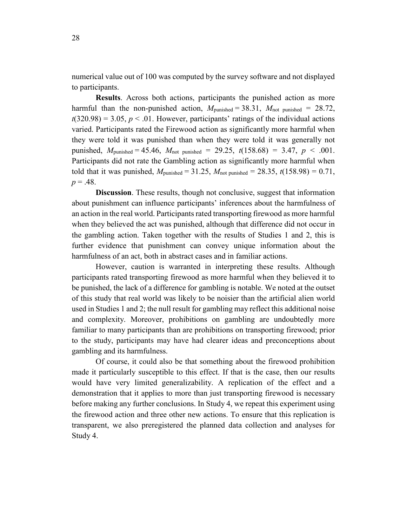numerical value out of 100 was computed by the survey software and not displayed to participants.

**Results**. Across both actions, participants the punished action as more harmful than the non-punished action,  $M_{\text{punished}} = 38.31$ ,  $M_{\text{not punished}} = 28.72$ ,  $t(320.98) = 3.05$ ,  $p < 0.01$ . However, participants' ratings of the individual actions varied. Participants rated the Firewood action as significantly more harmful when they were told it was punished than when they were told it was generally not punished,  $M_{\text{punished}} = 45.46$ ,  $M_{\text{not punished}} = 29.25$ ,  $t(158.68) = 3.47$ ,  $p < .001$ . Participants did not rate the Gambling action as significantly more harmful when told that it was punished,  $M_{\text{punished}} = 31.25$ ,  $M_{\text{not punished}} = 28.35$ ,  $t(158.98) = 0.71$ ,  $p = .48$ .

**Discussion**. These results, though not conclusive, suggest that information about punishment can influence participants' inferences about the harmfulness of an action in the real world. Participants rated transporting firewood as more harmful when they believed the act was punished, although that difference did not occur in the gambling action. Taken together with the results of Studies 1 and 2, this is further evidence that punishment can convey unique information about the harmfulness of an act, both in abstract cases and in familiar actions.

However, caution is warranted in interpreting these results. Although participants rated transporting firewood as more harmful when they believed it to be punished, the lack of a difference for gambling is notable. We noted at the outset of this study that real world was likely to be noisier than the artificial alien world used in Studies 1 and 2; the null result for gambling may reflect this additional noise and complexity. Moreover, prohibitions on gambling are undoubtedly more familiar to many participants than are prohibitions on transporting firewood; prior to the study, participants may have had clearer ideas and preconceptions about gambling and its harmfulness.

Of course, it could also be that something about the firewood prohibition made it particularly susceptible to this effect. If that is the case, then our results would have very limited generalizability. A replication of the effect and a demonstration that it applies to more than just transporting firewood is necessary before making any further conclusions. In Study 4, we repeat this experiment using the firewood action and three other new actions. To ensure that this replication is transparent, we also preregistered the planned data collection and analyses for Study 4.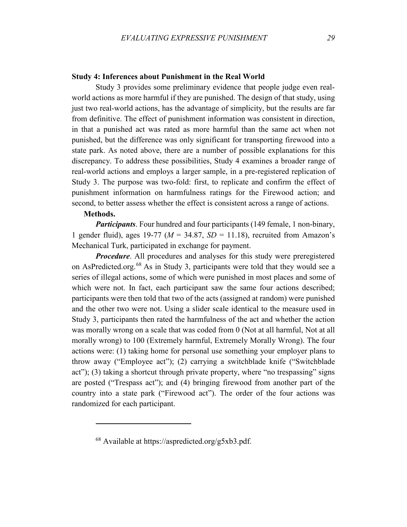# **Study 4: Inferences about Punishment in the Real World**

Study 3 provides some preliminary evidence that people judge even realworld actions as more harmful if they are punished. The design of that study, using just two real-world actions, has the advantage of simplicity, but the results are far from definitive. The effect of punishment information was consistent in direction, in that a punished act was rated as more harmful than the same act when not punished, but the difference was only significant for transporting firewood into a state park. As noted above, there are a number of possible explanations for this discrepancy. To address these possibilities, Study 4 examines a broader range of real-world actions and employs a larger sample, in a pre-registered replication of Study 3. The purpose was two-fold: first, to replicate and confirm the effect of punishment information on harmfulness ratings for the Firewood action; and second, to better assess whether the effect is consistent across a range of actions.

### **Methods.**

 $\overline{a}$ 

*Participants*. Four hundred and four participants (149 female, 1 non-binary, 1 gender fluid), ages 19-77 ( $M = 34.87$ ,  $SD = 11.18$ ), recruited from Amazon's Mechanical Turk, participated in exchange for payment.

*Procedure*. All procedures and analyses for this study were preregistered on AsPredicted.org.[68](#page-28-0) As in Study 3, participants were told that they would see a series of illegal actions, some of which were punished in most places and some of which were not. In fact, each participant saw the same four actions described; participants were then told that two of the acts (assigned at random) were punished and the other two were not. Using a slider scale identical to the measure used in Study 3, participants then rated the harmfulness of the act and whether the action was morally wrong on a scale that was coded from 0 (Not at all harmful, Not at all morally wrong) to 100 (Extremely harmful, Extremely Morally Wrong). The four actions were: (1) taking home for personal use something your employer plans to throw away ("Employee act"); (2) carrying a switchblade knife ("Switchblade act"); (3) taking a shortcut through private property, where "no trespassing" signs are posted ("Trespass act"); and (4) bringing firewood from another part of the country into a state park ("Firewood act"). The order of the four actions was randomized for each participant.

<span id="page-28-0"></span><sup>68</sup> Available at https://aspredicted.org/g5xb3.pdf.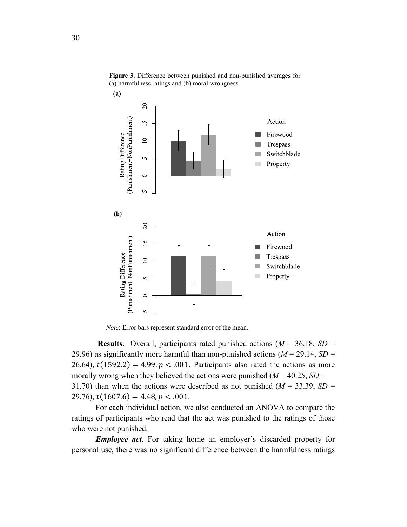

**Figure 3.** Difference between punished and non-punished averages for (a) harmfulness ratings and (b) moral wrongness.

*Note*: Error bars represent standard error of the mean.

**Results**. Overall, participants rated punished actions (*M* = 36.18, *SD* = 29.96) as significantly more harmful than non-punished actions ( $M = 29.14$ ,  $SD =$ 26.64),  $t(1592.2) = 4.99$ ,  $p < .001$ . Participants also rated the actions as more morally wrong when they believed the actions were punished  $(M = 40.25, SD =$ 31.70) than when the actions were described as not punished  $(M = 33.39, SD =$ 29.76),  $t(1607.6) = 4.48$ ,  $p < .001$ .

For each individual action, we also conducted an ANOVA to compare the ratings of participants who read that the act was punished to the ratings of those who were not punished.

*Employee act*. For taking home an employer's discarded property for personal use, there was no significant difference between the harmfulness ratings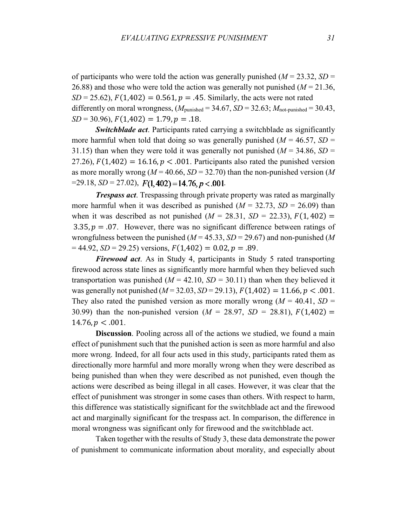of participants who were told the action was generally punished ( $M = 23.32$ ,  $SD =$ 26.88) and those who were told the action was generally not punished (*M* = 21.36,  $SD = 25.62$ ,  $F(1,402) = 0.561$ ,  $p = .45$ . Similarly, the acts were not rated differently on moral wrongness,  $(M_{\text{punished}} = 34.67, SD = 32.63; M_{\text{not-punished}} = 30.43$ ,  $SD = 30.96$ ,  $F(1,402) = 1.79$ ,  $p = .18$ .

*Switchblade act*. Participants rated carrying a switchblade as significantly more harmful when told that doing so was generally punished  $(M = 46.57, SD =$ 31.15) than when they were told it was generally not punished  $(M = 34.86, SD =$ 27.26),  $F(1,402) = 16.16$ ,  $p < .001$ . Participants also rated the punished version as more morally wrong (*M* = 40.66, *SD* = 32.70) than the non-punished version (*M*  $=$ 29.18, *SD* = 27.02),  $F(1, 402) = 14.76, p < 0.001$ .

*Trespass act*. Trespassing through private property was rated as marginally more harmful when it was described as punished  $(M = 32.73, SD = 26.09)$  than when it was described as not punished  $(M = 28.31, SD = 22.33), F(1, 402) =$ 3.35,  $p = 0.07$ . However, there was no significant difference between ratings of wrongfulness between the punished (*M* = 45.33, *SD* = 29.67) and non-punished (*M*  $= 44.92$ , *SD* = 29.25) versions,  $F(1,402) = 0.02$ ,  $p = .89$ .

*Firewood act*. As in Study 4, participants in Study 5 rated transporting firewood across state lines as significantly more harmful when they believed such transportation was punished  $(M = 42.10, SD = 30.11)$  than when they believed it was generally not punished  $(M = 32.03, SD = 29.13)$ ,  $F(1,402) = 11.66, p < .001$ . They also rated the punished version as more morally wrong  $(M = 40.41, SD =$ 30.99) than the non-punished version  $(M = 28.97, SD = 28.81), F(1,402) =$  $14.76$ ,  $p < .001$ .

**Discussion**. Pooling across all of the actions we studied, we found a main effect of punishment such that the punished action is seen as more harmful and also more wrong. Indeed, for all four acts used in this study, participants rated them as directionally more harmful and more morally wrong when they were described as being punished than when they were described as not punished, even though the actions were described as being illegal in all cases. However, it was clear that the effect of punishment was stronger in some cases than others. With respect to harm, this difference was statistically significant for the switchblade act and the firewood act and marginally significant for the trespass act. In comparison, the difference in moral wrongness was significant only for firewood and the switchblade act.

Taken together with the results of Study 3, these data demonstrate the power of punishment to communicate information about morality, and especially about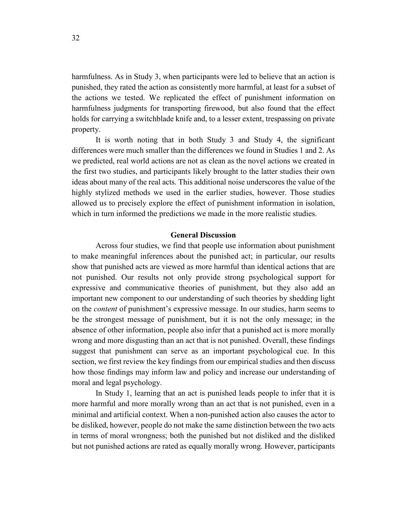harmfulness. As in Study 3, when participants were led to believe that an action is punished, they rated the action as consistently more harmful, at least for a subset of the actions we tested. We replicated the effect of punishment information on harmfulness judgments for transporting firewood, but also found that the effect holds for carrying a switchblade knife and, to a lesser extent, trespassing on private property.

It is worth noting that in both Study 3 and Study 4, the significant differences were much smaller than the differences we found in Studies 1 and 2. As we predicted, real world actions are not as clean as the novel actions we created in the first two studies, and participants likely brought to the latter studies their own ideas about many of the real acts. This additional noise underscores the value of the highly stylized methods we used in the earlier studies, however. Those studies allowed us to precisely explore the effect of punishment information in isolation, which in turn informed the predictions we made in the more realistic studies.

### **General Discussion**

Across four studies, we find that people use information about punishment to make meaningful inferences about the punished act; in particular, our results show that punished acts are viewed as more harmful than identical actions that are not punished. Our results not only provide strong psychological support for expressive and communicative theories of punishment, but they also add an important new component to our understanding of such theories by shedding light on the *content* of punishment's expressive message. In our studies, harm seems to be the strongest message of punishment, but it is not the only message; in the absence of other information, people also infer that a punished act is more morally wrong and more disgusting than an act that is not punished. Overall, these findings suggest that punishment can serve as an important psychological cue. In this section, we first review the key findings from our empirical studies and then discuss how those findings may inform law and policy and increase our understanding of moral and legal psychology.

In Study 1, learning that an act is punished leads people to infer that it is more harmful and more morally wrong than an act that is not punished, even in a minimal and artificial context. When a non-punished action also causes the actor to be disliked, however, people do not make the same distinction between the two acts in terms of moral wrongness; both the punished but not disliked and the disliked but not punished actions are rated as equally morally wrong. However, participants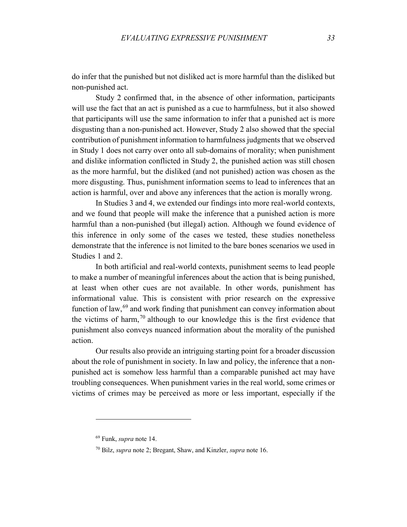do infer that the punished but not disliked act is more harmful than the disliked but non-punished act.

Study 2 confirmed that, in the absence of other information, participants will use the fact that an act is punished as a cue to harmfulness, but it also showed that participants will use the same information to infer that a punished act is more disgusting than a non-punished act. However, Study 2 also showed that the special contribution of punishment information to harmfulness judgments that we observed in Study 1 does not carry over onto all sub-domains of morality; when punishment and dislike information conflicted in Study 2, the punished action was still chosen as the more harmful, but the disliked (and not punished) action was chosen as the more disgusting. Thus, punishment information seems to lead to inferences that an action is harmful, over and above any inferences that the action is morally wrong.

In Studies 3 and 4, we extended our findings into more real-world contexts, and we found that people will make the inference that a punished action is more harmful than a non-punished (but illegal) action. Although we found evidence of this inference in only some of the cases we tested, these studies nonetheless demonstrate that the inference is not limited to the bare bones scenarios we used in Studies 1 and 2.

In both artificial and real-world contexts, punishment seems to lead people to make a number of meaningful inferences about the action that is being punished, at least when other cues are not available. In other words, punishment has informational value. This is consistent with prior research on the expressive function of law,<sup>[69](#page-32-0)</sup> and work finding that punishment can convey information about the victims of harm,  $70$  although to our knowledge this is the first evidence that punishment also conveys nuanced information about the morality of the punished action.

Our results also provide an intriguing starting point for a broader discussion about the role of punishment in society. In law and policy, the inference that a nonpunished act is somehow less harmful than a comparable punished act may have troubling consequences. When punishment varies in the real world, some crimes or victims of crimes may be perceived as more or less important, especially if the

<sup>69</sup> Funk, *supra* note 14.

<span id="page-32-1"></span><span id="page-32-0"></span><sup>70</sup> Bilz, *supra* note 2; Bregant, Shaw, and Kinzler, *supra* note 16.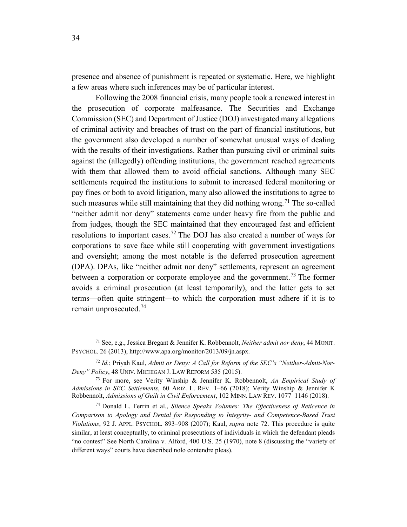presence and absence of punishment is repeated or systematic. Here, we highlight a few areas where such inferences may be of particular interest.

Following the 2008 financial crisis, many people took a renewed interest in the prosecution of corporate malfeasance. The Securities and Exchange Commission (SEC) and Department of Justice (DOJ) investigated many allegations of criminal activity and breaches of trust on the part of financial institutions, but the government also developed a number of somewhat unusual ways of dealing with the results of their investigations. Rather than pursuing civil or criminal suits against the (allegedly) offending institutions, the government reached agreements with them that allowed them to avoid official sanctions. Although many SEC settlements required the institutions to submit to increased federal monitoring or pay fines or both to avoid litigation, many also allowed the institutions to agree to such measures while still maintaining that they did nothing wrong.<sup>[71](#page-33-0)</sup> The so-called "neither admit nor deny" statements came under heavy fire from the public and from judges, though the SEC maintained that they encouraged fast and efficient resolutions to important cases.<sup>[72](#page-33-1)</sup> The DOJ has also created a number of ways for corporations to save face while still cooperating with government investigations and oversight; among the most notable is the deferred prosecution agreement (DPA). DPAs, like "neither admit nor deny" settlements, represent an agreement between a corporation or corporate employee and the government.<sup>[73](#page-33-2)</sup> The former avoids a criminal prosecution (at least temporarily), and the latter gets to set terms—often quite stringent—to which the corporation must adhere if it is to remain unprosecuted. [74](#page-33-3)

<span id="page-33-0"></span><sup>71</sup> See, e.g., Jessica Bregant & Jennifer K. Robbennolt, *Neither admit nor deny*, 44 MONIT. PSYCHOL. 26 (2013), http://www.apa.org/monitor/2013/09/jn.aspx.

<span id="page-33-1"></span><sup>72</sup> *Id.*; Priyah Kaul, *Admit or Deny: A Call for Reform of the SEC's "Neither-Admit-Nor-Deny" Policy*, 48 UNIV. MICHIGAN J. LAW REFORM 535 (2015).

<span id="page-33-2"></span><sup>73</sup> For more, see Verity Winship & Jennifer K. Robbennolt, *An Empirical Study of Admissions in SEC Settlements*, 60 ARIZ. L. REV. 1–66 (2018); Verity Winship & Jennifer K Robbennolt, *Admissions of Guilt in Civil Enforcement*, 102 MINN. LAW REV. 1077–1146 (2018).

<span id="page-33-3"></span><sup>74</sup> Donald L. Ferrin et al., *Silence Speaks Volumes: The Effectiveness of Reticence in Comparison to Apology and Denial for Responding to Integrity- and Competence-Based Trust Violations*, 92 J. APPL. PSYCHOL. 893–908 (2007); Kaul, *supra* note 72. This procedure is quite similar, at least conceptually, to criminal prosecutions of individuals in which the defendant pleads "no contest" See North Carolina v. Alford, 400 U.S. 25 (1970), note 8 (discussing the "variety of different ways" courts have described nolo contendre pleas).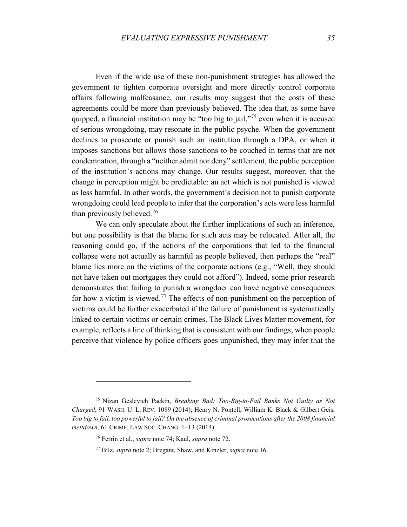Even if the wide use of these non-punishment strategies has allowed the government to tighten corporate oversight and more directly control corporate affairs following malfeasance, our results may suggest that the costs of these agreements could be more than previously believed. The idea that, as some have quipped, a financial institution may be "too big to jail,"<sup>[75](#page-34-0)</sup> even when it is accused of serious wrongdoing, may resonate in the public psyche. When the government declines to prosecute or punish such an institution through a DPA, or when it imposes sanctions but allows those sanctions to be couched in terms that are not condemnation, through a "neither admit nor deny" settlement, the public perception of the institution's actions may change. Our results suggest, moreover, that the change in perception might be predictable: an act which is not punished is viewed as less harmful. In other words, the government's decision not to punish corporate wrongdoing could lead people to infer that the corporation's acts were less harmful than previously believed. [76](#page-34-1)

We can only speculate about the further implications of such an inference, but one possibility is that the blame for such acts may be relocated. After all, the reasoning could go, if the actions of the corporations that led to the financial collapse were not actually as harmful as people believed, then perhaps the "real" blame lies more on the victims of the corporate actions (e.g., "Well, they should not have taken out mortgages they could not afford"). Indeed, some prior research demonstrates that failing to punish a wrongdoer can have negative consequences for how a victim is viewed.<sup>[77](#page-34-2)</sup> The effects of non-punishment on the perception of victims could be further exacerbated if the failure of punishment is systematically linked to certain victims or certain crimes. The Black Lives Matter movement, for example, reflects a line of thinking that is consistent with our findings; when people perceive that violence by police officers goes unpunished, they may infer that the

<span id="page-34-2"></span><span id="page-34-1"></span><span id="page-34-0"></span><sup>75</sup> Nizan Geslevich Packin, *Breaking Bad: Too-Big-to-Fail Banks Not Guilty as Not Charged*, 91 WASH. U. L. REV. 1089 (2014); Henry N. Pontell, William K. Black & Gilbert Geis, *Too big to fail, too powerful to jail? On the absence of criminal prosecutions after the 2008 financial meltdown*, 61 CRIME, LAW SOC. CHANG. 1–13 (2014).

<sup>76</sup> Ferrin et al., *supra* note 74; Kaul, *supra* note 72.

<sup>77</sup> Bilz, *supra* note 2; Bregant, Shaw, and Kinzler, *supra* note 16.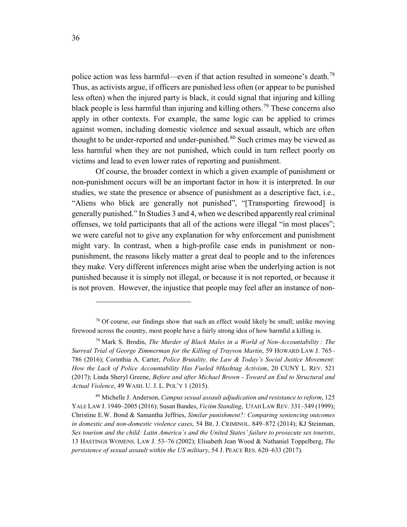police action was less harmful—even if that action resulted in someone's death.<sup>[78](#page-35-0)</sup> Thus, as activists argue, if officers are punished less often (or appear to be punished less often) when the injured party is black, it could signal that injuring and killing black people is less harmful than injuring and killing others. [79](#page-35-1) These concerns also apply in other contexts. For example, the same logic can be applied to crimes against women, including domestic violence and sexual assault, which are often thought to be under-reported and under-punished.<sup>[80](#page-35-2)</sup> Such crimes may be viewed as less harmful when they are not punished, which could in turn reflect poorly on victims and lead to even lower rates of reporting and punishment.

Of course, the broader context in which a given example of punishment or non-punishment occurs will be an important factor in how it is interpreted. In our studies, we state the presence or absence of punishment as a descriptive fact, i.e., "Aliens who blick are generally not punished", "[Transporting firewood] is generally punished." In Studies 3 and 4, when we described apparently real criminal offenses, we told participants that all of the actions were illegal "in most places"; we were careful not to give any explanation for why enforcement and punishment might vary. In contrast, when a high-profile case ends in punishment or nonpunishment, the reasons likely matter a great deal to people and to the inferences they make. Very different inferences might arise when the underlying action is not punished because it is simply not illegal, or because it is not reported, or because it is not proven. However, the injustice that people may feel after an instance of non-

<span id="page-35-0"></span> $78$  Of course, our findings show that such an effect would likely be small; unlike moving firewood across the country, most people have a fairly strong idea of how harmful a killing is.

<span id="page-35-1"></span><sup>79</sup> Mark S. Brodin, *The Murder of Black Males in a World of Non-Accountability : The Surreal Trial of George Zimmerman for the Killing of Trayvon Martin*, 59 HOWARD LAW J. 765– 786 (2016); Corinthia A. Carter, *Police Brutality, the Law & Today's Social Justice Movement: How the Lack of Police Accountability Has Fueled #Hashtag Activism*, 20 CUNY L. REV. 521 (2017); Linda Sheryl Greene, *Before and after Michael Brown - Toward an End to Structural and Actual Violence*, 49 WASH. U. J. L. POL'Y 1 (2015).

<span id="page-35-2"></span><sup>80</sup> Michelle J. Anderson, *Campus sexual assault adjudication and resistance to reform*, 125 YALE LAW J. 1940–2005 (2016); Susan Bandes, *Victim Standing*, UTAH LAW REV. 331–349 (1999); Christine E.W. Bond & Samantha Jeffries, *Similar punishment?: Comparing sentencing outcomes in domestic and non-domestic violence cases*, 54 BR. J. CRIMINOL. 849–872 (2014); KJ Steinman, *Sex tourism and the child: Latin America's and the United States' failure to prosecute sex tourists*, 13 HASTINGS WOMENS. LAW J. 53–76 (2002); Elisabeth Jean Wood & Nathaniel Toppelberg, *The persistence of sexual assault within the US military*, 54 J. PEACE RES. 620–633 (2017).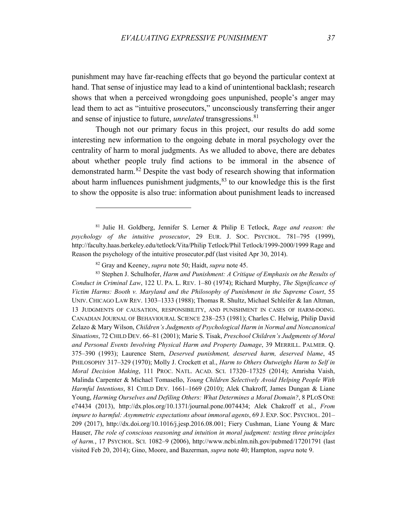punishment may have far-reaching effects that go beyond the particular context at hand. That sense of injustice may lead to a kind of unintentional backlash; research shows that when a perceived wrongdoing goes unpunished, people's anger may lead them to act as "intuitive prosecutors," unconsciously transferring their anger and sense of injustice to future, *unrelated* transgressions. [81](#page-36-0)

Though not our primary focus in this project, our results do add some interesting new information to the ongoing debate in moral psychology over the centrality of harm to moral judgments. As we alluded to above, there are debates about whether people truly find actions to be immoral in the absence of demonstrated harm. [82](#page-36-1) Despite the vast body of research showing that information about harm influences punishment judgments, [83](#page-36-2) to our knowledge this is the first to show the opposite is also true: information about punishment leads to increased

<span id="page-36-0"></span><sup>81</sup> Julie H. Goldberg, Jennifer S. Lerner & Philip E Tetlock, *Rage and reason: the psychology of the intuitive prosecutor*, 29 EUR. J. SOC. PSYCHOL. 781–795 (1999), http://faculty.haas.berkeley.edu/tetlock/Vita/Philip Tetlock/Phil Tetlock/1999-2000/1999 Rage and Reason the psychology of the intuitive prosecutor.pdf (last visited Apr 30, 2014).

<sup>82</sup> Gray and Keeney, *supra* note 50; Haidt, *supra* note 45.

 $\overline{a}$ 

<span id="page-36-2"></span><span id="page-36-1"></span><sup>83</sup> Stephen J. Schulhofer, *Harm and Punishment: A Critique of Emphasis on the Results of Conduct in Criminal Law*, 122 U. PA. L. REV. 1–80 (1974); Richard Murphy, *The Significance of Victim Harms: Booth v. Maryland and the Philosophy of Punishment in the Supreme Court*, 55 UNIV. CHICAGO LAW REV. 1303–1333 (1988); Thomas R. Shultz, Michael Schleifer & Ian Altman, 13 JUDGMENTS OF CAUSATION, RESPONSIBILITY, AND PUNISHMENT IN CASES OF HARM-DOING. CANADIAN JOURNAL OF BEHAVIOURAL SCIENCE 238–253 (1981); Charles C. Helwig, Philip David Zelazo & Mary Wilson, *Children's Judgments of Psychological Harm in Normal and Noncanonical Situations*, 72 CHILD DEV. 66–81 (2001); Marie S. Tisak, *Preschool Children's Judgments of Moral and Personal Events Involving Physical Harm and Property Damage*, 39 MERRILL. PALMER. Q. 375–390 (1993); Laurence Stern, *Deserved punishment, deserved harm, deserved blame*, 45 PHILOSOPHY 317–329 (1970); Molly J. Crockett et al., *Harm to Others Outweighs Harm to Self in Moral Decision Making*, 111 PROC. NATL. ACAD. SCI. 17320–17325 (2014); Amrisha Vaish, Malinda Carpenter & Michael Tomasello, *Young Children Selectively Avoid Helping People With Harmful Intentions*, 81 CHILD DEV. 1661–1669 (2010); Alek Chakroff, James Dungan & Liane Young, *Harming Ourselves and Defiling Others: What Determines a Moral Domain?*, 8 PLOS ONE e74434 (2013), http://dx.plos.org/10.1371/journal.pone.0074434; Alek Chakroff et al., *From impure to harmful: Asymmetric expectations about immoral agents*, 69 J. EXP. SOC. PSYCHOL. 201– 209 (2017), http://dx.doi.org/10.1016/j.jesp.2016.08.001; Fiery Cushman, Liane Young & Marc Hauser, *The role of conscious reasoning and intuition in moral judgment: testing three principles of harm.*, 17 PSYCHOL. SCI. 1082–9 (2006), http://www.ncbi.nlm.nih.gov/pubmed/17201791 (last visited Feb 20, 2014); Gino, Moore, and Bazerman, *supra* note 40; Hampton, *supra* note 9.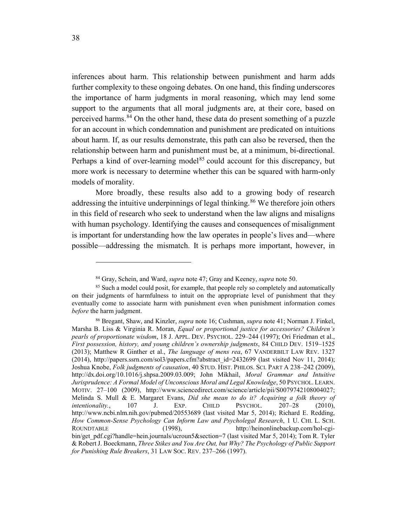inferences about harm. This relationship between punishment and harm adds further complexity to these ongoing debates. On one hand, this finding underscores the importance of harm judgments in moral reasoning, which may lend some support to the arguments that all moral judgments are, at their core, based on perceived harms.<sup>[84](#page-37-0)</sup> On the other hand, these data do present something of a puzzle for an account in which condemnation and punishment are predicated on intuitions about harm. If, as our results demonstrate, this path can also be reversed, then the relationship between harm and punishment must be, at a minimum, bi-directional. Perhaps a kind of over-learning model<sup>[85](#page-37-1)</sup> could account for this discrepancy, but more work is necessary to determine whether this can be squared with harm-only models of morality.

More broadly, these results also add to a growing body of research addressing the intuitive underpinnings of legal thinking.<sup>[86](#page-37-2)</sup> We therefore join others in this field of research who seek to understand when the law aligns and misaligns with human psychology. Identifying the causes and consequences of misalignment is important for understanding how the law operates in people's lives and—where possible—addressing the mismatch. It is perhaps more important, however, in

<sup>84</sup> Gray, Schein, and Ward, *supra* note 47; Gray and Keeney, *supra* note 50.

<span id="page-37-1"></span><span id="page-37-0"></span><sup>&</sup>lt;sup>85</sup> Such a model could posit, for example, that people rely so completely and automatically on their judgments of harmfulness to intuit on the appropriate level of punishment that they eventually come to associate harm with punishment even when punishment information comes *before* the harm judgment.

<span id="page-37-2"></span><sup>86</sup> Bregant, Shaw, and Kinzler, *supra* note 16; Cushman, *supra* note 41; Norman J. Finkel, Marsha B. Liss & Virginia R. Moran, *Equal or proportional justice for accessories? Children's pearls of proportionate wisdom*, 18 J. APPL. DEV. PSYCHOL. 229–244 (1997); Ori Friedman et al., *First possession, history, and young children's ownership judgments*, 84 CHILD DEV. 1519–1525 (2013); Matthew R Ginther et al., *The language of mens rea*, 67 VANDERBILT LAW REV. 1327 (2014), http://papers.ssrn.com/sol3/papers.cfm?abstract\_id=2432699 (last visited Nov 11, 2014); Joshua Knobe, *Folk judgments of causation*, 40 STUD. HIST. PHILOS. SCI. PART A 238–242 (2009), http://dx.doi.org/10.1016/j.shpsa.2009.03.009; John Mikhail, *Moral Grammar and Intuitive Jurisprudence: A Formal Model of Unconscious Moral and Legal Knowledge*, 50 PSYCHOL. LEARN. MOTIV. 27–100 (2009), http://www.sciencedirect.com/science/article/pii/S0079742108004027; Melinda S. Mull & E. Margaret Evans, *Did she mean to do it? Acquiring a folk theory of intentionality.*, 107 J. EXP. CHILD PSYCHOL. 207–28 (2010), http://www.ncbi.nlm.nih.gov/pubmed/20553689 (last visited Mar 5, 2014); Richard E. Redding, *How Common-Sense Psychology Can Inform Law and Psycholegal Research*, 1 U. CHI. L. SCH. ROUNDTABLE (1998), http://heinonlinebackup.com/hol-cgibin/get\_pdf.cgi?handle=hein.journals/ucroun5&section=7 (last visited Mar 5, 2014); Tom R. Tyler & Robert J. Boeckmann, *Three Stikes and You Are Out, but Why? The Psychology of Public Support for Punishing Rule Breakers*, 31 LAW SOC. REV. 237–266 (1997).